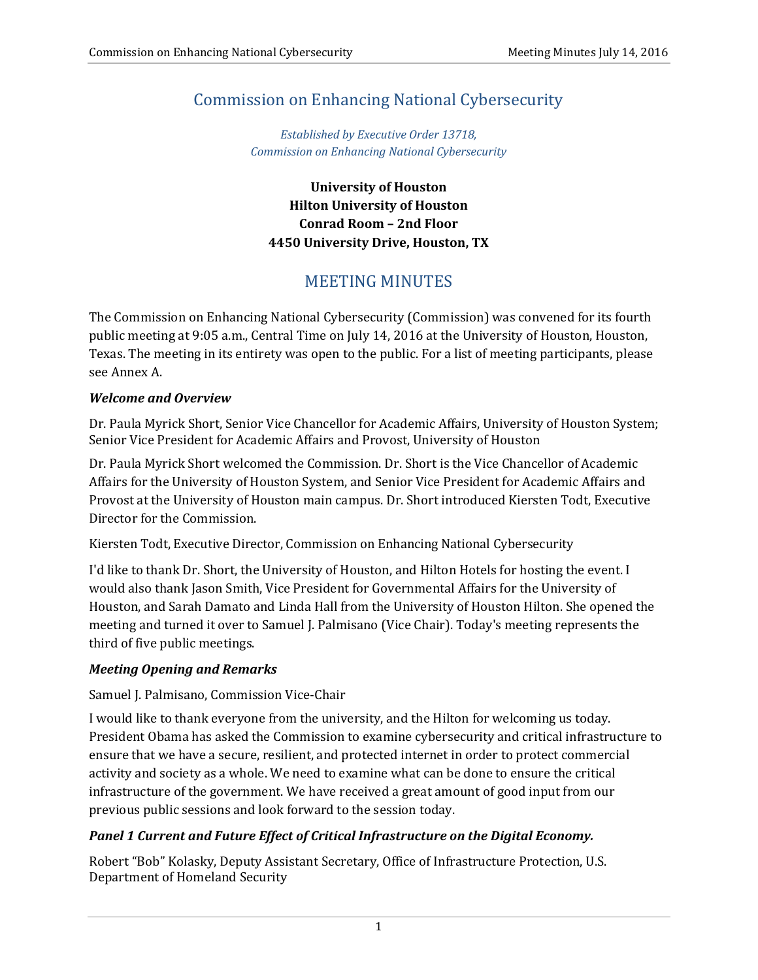# Commission on Enhancing National Cybersecurity

*Established by Executive Order 13718, Commission on Enhancing National Cybersecurity*

**University of Houston Hilton University of Houston Conrad Room – 2nd Floor 4450 University Drive, Houston, TX**

# **MEETING MINUTES**

The Commission on Enhancing National Cybersecurity (Commission) was convened for its fourth public meeting at 9:05 a.m., Central Time on July 14, 2016 at the University of Houston, Houston, Texas. The meeting in its entirety was open to the public. For a list of meeting participants, please see Annex A. 

## *Welcome and Overview*

Dr. Paula Myrick Short, Senior Vice Chancellor for Academic Affairs, University of Houston System; Senior Vice President for Academic Affairs and Provost, University of Houston

Dr. Paula Myrick Short welcomed the Commission. Dr. Short is the Vice Chancellor of Academic Affairs for the University of Houston System, and Senior Vice President for Academic Affairs and Provost at the University of Houston main campus. Dr. Short introduced Kiersten Todt, Executive Director for the Commission.

Kiersten Todt, Executive Director, Commission on Enhancing National Cybersecurity

I'd like to thank Dr. Short, the University of Houston, and Hilton Hotels for hosting the event. I would also thank Jason Smith, Vice President for Governmental Affairs for the University of Houston, and Sarah Damato and Linda Hall from the University of Houston Hilton. She opened the meeting and turned it over to Samuel J. Palmisano (Vice Chair). Today's meeting represents the third of five public meetings.

## *Meeting Opening and Remarks*

Samuel J. Palmisano, Commission Vice-Chair

I would like to thank everyone from the university, and the Hilton for welcoming us today. President Obama has asked the Commission to examine cybersecurity and critical infrastructure to ensure that we have a secure, resilient, and protected internet in order to protect commercial activity and society as a whole. We need to examine what can be done to ensure the critical infrastructure of the government. We have received a great amount of good input from our previous public sessions and look forward to the session today.

## *Panel 1 Current and Future Effect of Critical Infrastructure on the Digital Economy.*

Robert "Bob" Kolasky, Deputy Assistant Secretary, Office of Infrastructure Protection, U.S. Department of Homeland Security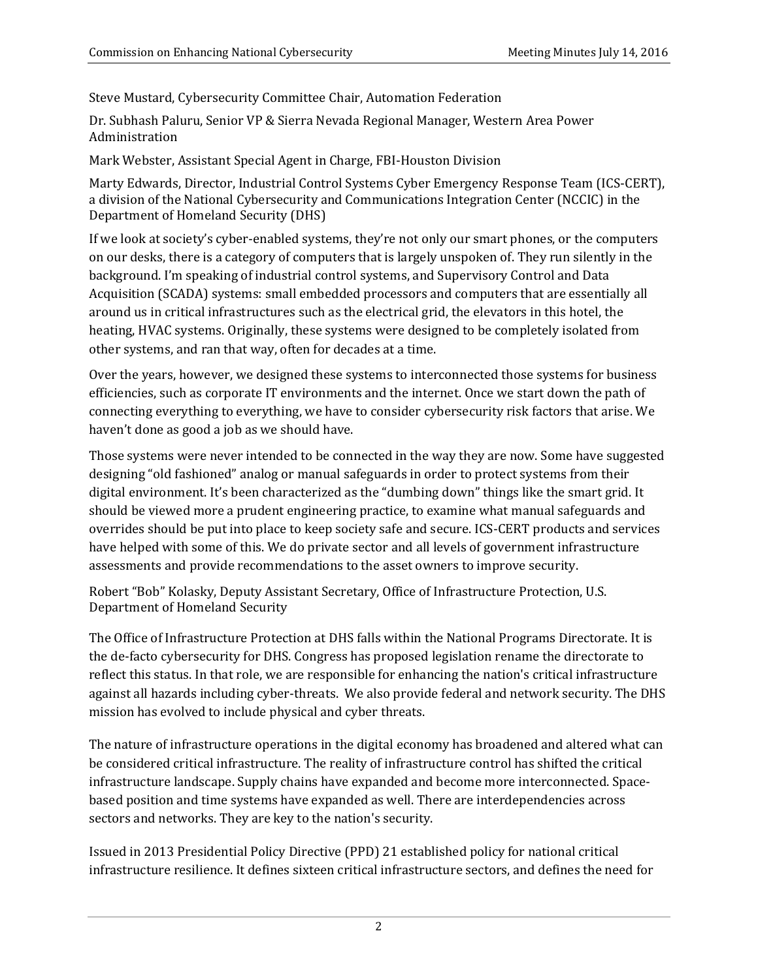Steve Mustard, Cybersecurity Committee Chair, Automation Federation

Dr. Subhash Paluru, Senior VP & Sierra Nevada Regional Manager, Western Area Power Administration 

Mark Webster, Assistant Special Agent in Charge, FBI-Houston Division

Marty Edwards, Director, Industrial Control Systems Cyber Emergency Response Team (ICS-CERT), a division of the National Cybersecurity and Communications Integration Center (NCCIC) in the Department of Homeland Security (DHS)

If we look at society's cyber-enabled systems, they're not only our smart phones, or the computers on our desks, there is a category of computers that is largely unspoken of. They run silently in the background. I'm speaking of industrial control systems, and Supervisory Control and Data Acquisition (SCADA) systems: small embedded processors and computers that are essentially all around us in critical infrastructures such as the electrical grid, the elevators in this hotel, the heating, HVAC systems. Originally, these systems were designed to be completely isolated from other systems, and ran that way, often for decades at a time.

Over the years, however, we designed these systems to interconnected those systems for business efficiencies, such as corporate IT environments and the internet. Once we start down the path of connecting everything to everything, we have to consider cybersecurity risk factors that arise. We haven't done as good a job as we should have.

Those systems were never intended to be connected in the way they are now. Some have suggested designing "old fashioned" analog or manual safeguards in order to protect systems from their digital environment. It's been characterized as the "dumbing down" things like the smart grid. It should be viewed more a prudent engineering practice, to examine what manual safeguards and overrides should be put into place to keep society safe and secure. ICS-CERT products and services have helped with some of this. We do private sector and all levels of government infrastructure assessments and provide recommendations to the asset owners to improve security.

Robert "Bob" Kolasky, Deputy Assistant Secretary, Office of Infrastructure Protection, U.S. Department of Homeland Security

The Office of Infrastructure Protection at DHS falls within the National Programs Directorate. It is the de-facto cybersecurity for DHS. Congress has proposed legislation rename the directorate to reflect this status. In that role, we are responsible for enhancing the nation's critical infrastructure against all hazards including cyber-threats. We also provide federal and network security. The DHS mission has evolved to include physical and cyber threats.

The nature of infrastructure operations in the digital economy has broadened and altered what can be considered critical infrastructure. The reality of infrastructure control has shifted the critical infrastructure landscape. Supply chains have expanded and become more interconnected. Spacebased position and time systems have expanded as well. There are interdependencies across sectors and networks. They are key to the nation's security.

Issued in 2013 Presidential Policy Directive (PPD) 21 established policy for national critical infrastructure resilience. It defines sixteen critical infrastructure sectors, and defines the need for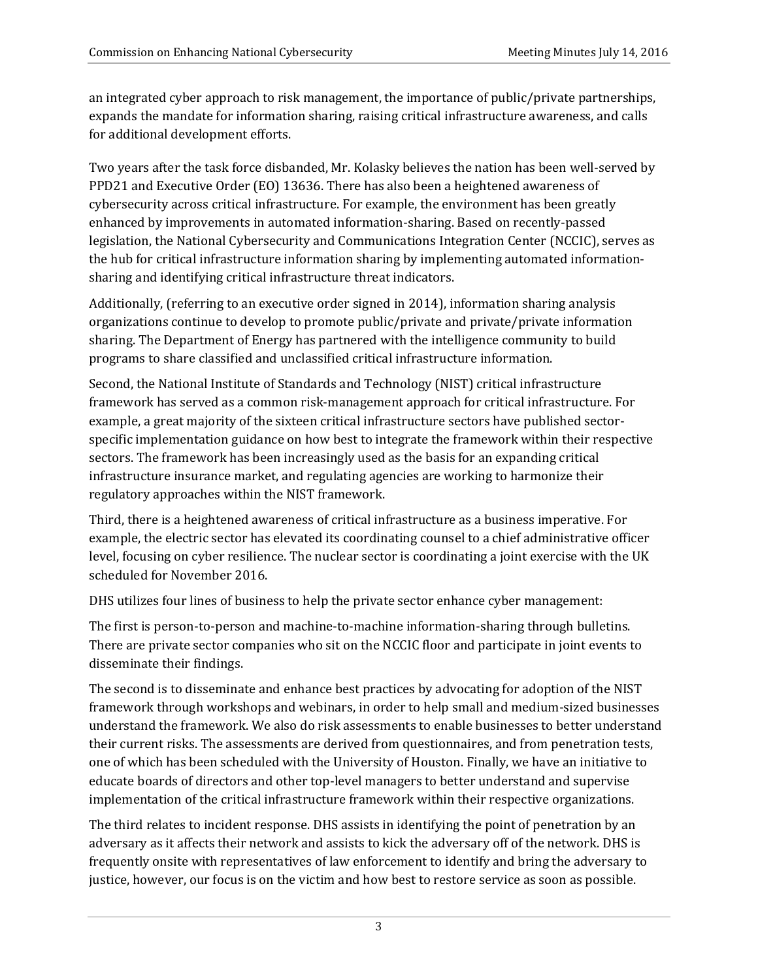an integrated cyber approach to risk management, the importance of public/private partnerships, expands the mandate for information sharing, raising critical infrastructure awareness, and calls for additional development efforts.

Two years after the task force disbanded, Mr. Kolasky believes the nation has been well-served by PPD21 and Executive Order (EO) 13636. There has also been a heightened awareness of cybersecurity across critical infrastructure. For example, the environment has been greatly enhanced by improvements in automated information-sharing. Based on recently-passed legislation, the National Cybersecurity and Communications Integration Center (NCCIC), serves as the hub for critical infrastructure information sharing by implementing automated informationsharing and identifying critical infrastructure threat indicators.

Additionally, (referring to an executive order signed in 2014), information sharing analysis organizations continue to develop to promote public/private and private/private information sharing. The Department of Energy has partnered with the intelligence community to build programs to share classified and unclassified critical infrastructure information.

Second, the National Institute of Standards and Technology (NIST) critical infrastructure framework has served as a common risk-management approach for critical infrastructure. For example, a great majority of the sixteen critical infrastructure sectors have published sectorspecific implementation guidance on how best to integrate the framework within their respective sectors. The framework has been increasingly used as the basis for an expanding critical infrastructure insurance market, and regulating agencies are working to harmonize their regulatory approaches within the NIST framework.

Third, there is a heightened awareness of critical infrastructure as a business imperative. For example, the electric sector has elevated its coordinating counsel to a chief administrative officer level, focusing on cyber resilience. The nuclear sector is coordinating a joint exercise with the UK scheduled for November 2016.

DHS utilizes four lines of business to help the private sector enhance cyber management:

The first is person-to-person and machine-to-machine information-sharing through bulletins. There are private sector companies who sit on the NCCIC floor and participate in joint events to disseminate their findings.

The second is to disseminate and enhance best practices by advocating for adoption of the NIST framework through workshops and webinars, in order to help small and medium-sized businesses understand the framework. We also do risk assessments to enable businesses to better understand their current risks. The assessments are derived from questionnaires, and from penetration tests, one of which has been scheduled with the University of Houston. Finally, we have an initiative to educate boards of directors and other top-level managers to better understand and supervise implementation of the critical infrastructure framework within their respective organizations.

The third relates to incident response. DHS assists in identifying the point of penetration by an adversary as it affects their network and assists to kick the adversary off of the network. DHS is frequently onsite with representatives of law enforcement to identify and bring the adversary to justice, however, our focus is on the victim and how best to restore service as soon as possible.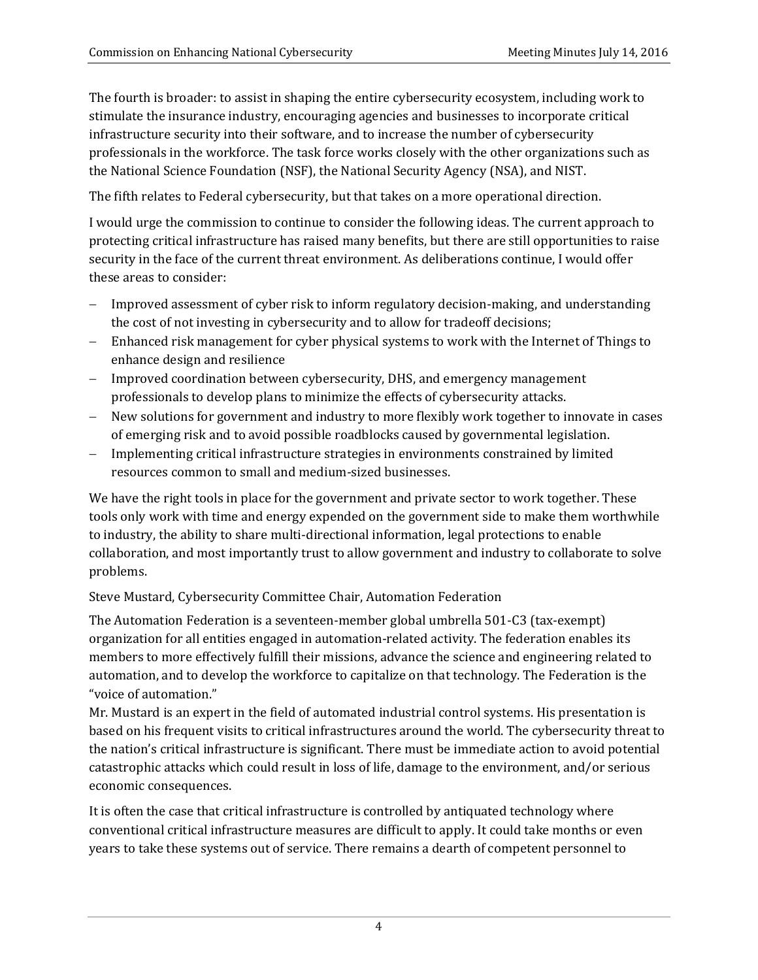The fourth is broader: to assist in shaping the entire cybersecurity ecosystem, including work to stimulate the insurance industry, encouraging agencies and businesses to incorporate critical infrastructure security into their software, and to increase the number of cybersecurity professionals in the workforce. The task force works closely with the other organizations such as the National Science Foundation (NSF), the National Security Agency (NSA), and NIST.

The fifth relates to Federal cybersecurity, but that takes on a more operational direction.

I would urge the commission to continue to consider the following ideas. The current approach to protecting critical infrastructure has raised many benefits, but there are still opportunities to raise security in the face of the current threat environment. As deliberations continue, I would offer these areas to consider:

- Improved assessment of cyber risk to inform regulatory decision-making, and understanding the cost of not investing in cybersecurity and to allow for tradeoff decisions;
- Enhanced risk management for cyber physical systems to work with the Internet of Things to enhance design and resilience
- Improved coordination between cybersecurity, DHS, and emergency management professionals to develop plans to minimize the effects of cybersecurity attacks.
- New solutions for government and industry to more flexibly work together to innovate in cases of emerging risk and to avoid possible roadblocks caused by governmental legislation.
- Implementing critical infrastructure strategies in environments constrained by limited resources common to small and medium-sized businesses.

We have the right tools in place for the government and private sector to work together. These tools only work with time and energy expended on the government side to make them worthwhile to industry, the ability to share multi-directional information, legal protections to enable collaboration, and most importantly trust to allow government and industry to collaborate to solve problems. 

### Steve Mustard, Cybersecurity Committee Chair, Automation Federation

The Automation Federation is a seventeen-member global umbrella 501–C3 (tax-exempt) organization for all entities engaged in automation-related activity. The federation enables its members to more effectively fulfill their missions, advance the science and engineering related to automation, and to develop the workforce to capitalize on that technology. The Federation is the "voice of automation."

Mr. Mustard is an expert in the field of automated industrial control systems. His presentation is based on his frequent visits to critical infrastructures around the world. The cybersecurity threat to the nation's critical infrastructure is significant. There must be immediate action to avoid potential catastrophic attacks which could result in loss of life, damage to the environment, and/or serious economic consequences.

It is often the case that critical infrastructure is controlled by antiquated technology where conventional critical infrastructure measures are difficult to apply. It could take months or even years to take these systems out of service. There remains a dearth of competent personnel to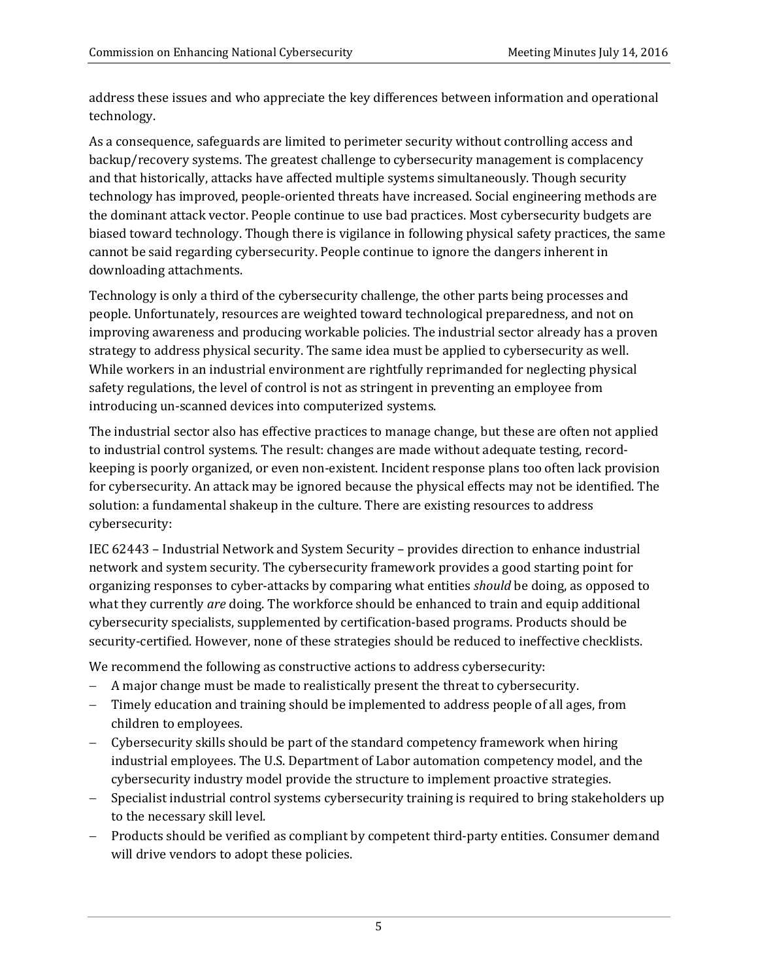address these issues and who appreciate the key differences between information and operational technology. 

As a consequence, safeguards are limited to perimeter security without controlling access and backup/recovery systems. The greatest challenge to cybersecurity management is complacency and that historically, attacks have affected multiple systems simultaneously. Though security technology has improved, people-oriented threats have increased. Social engineering methods are the dominant attack vector. People continue to use bad practices. Most cybersecurity budgets are biased toward technology. Though there is vigilance in following physical safety practices, the same cannot be said regarding cybersecurity. People continue to ignore the dangers inherent in downloading attachments.

Technology is only a third of the cybersecurity challenge, the other parts being processes and people. Unfortunately, resources are weighted toward technological preparedness, and not on improving awareness and producing workable policies. The industrial sector already has a proven strategy to address physical security. The same idea must be applied to cybersecurity as well. While workers in an industrial environment are rightfully reprimanded for neglecting physical safety regulations, the level of control is not as stringent in preventing an employee from introducing un-scanned devices into computerized systems.

The industrial sector also has effective practices to manage change, but these are often not applied to industrial control systems. The result: changes are made without adequate testing, recordkeeping is poorly organized, or even non-existent. Incident response plans too often lack provision for cybersecurity. An attack may be ignored because the physical effects may not be identified. The solution: a fundamental shakeup in the culture. There are existing resources to address cybersecurity: 

IEC 62443 – Industrial Network and System Security – provides direction to enhance industrial network and system security. The cybersecurity framework provides a good starting point for organizing responses to cyber-attacks by comparing what entities *should* be doing, as opposed to what they currently *are* doing. The workforce should be enhanced to train and equip additional cybersecurity specialists, supplemented by certification-based programs. Products should be security-certified. However, none of these strategies should be reduced to ineffective checklists.

We recommend the following as constructive actions to address cybersecurity:

- $-$  A major change must be made to realistically present the threat to cybersecurity.
- Timely education and training should be implemented to address people of all ages, from children to employees.
- Cybersecurity skills should be part of the standard competency framework when hiring industrial employees. The U.S. Department of Labor automation competency model, and the cybersecurity industry model provide the structure to implement proactive strategies.
- Specialist industrial control systems cybersecurity training is required to bring stakeholders up to the necessary skill level.
- Products should be verified as compliant by competent third-party entities. Consumer demand will drive vendors to adopt these policies.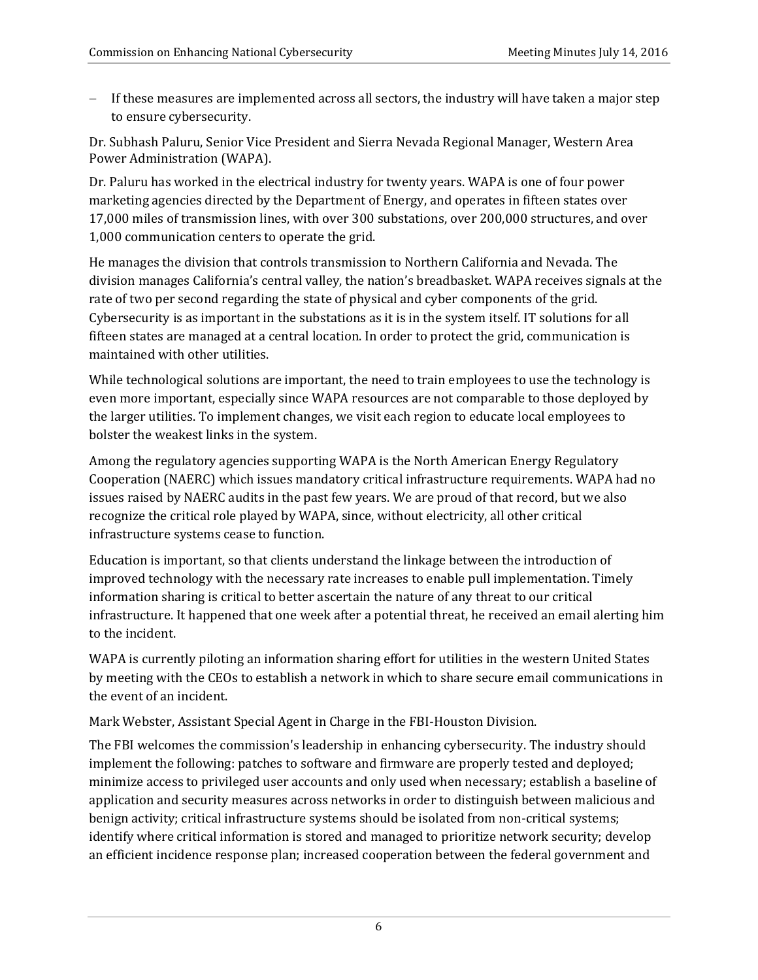$-I$  If these measures are implemented across all sectors, the industry will have taken a major step to ensure cybersecurity.

Dr. Subhash Paluru, Senior Vice President and Sierra Nevada Regional Manager, Western Area Power Administration (WAPA).

Dr. Paluru has worked in the electrical industry for twenty years. WAPA is one of four power marketing agencies directed by the Department of Energy, and operates in fifteen states over 17,000 miles of transmission lines, with over 300 substations, over 200,000 structures, and over 1,000 communication centers to operate the grid.

He manages the division that controls transmission to Northern California and Nevada. The division manages California's central valley, the nation's breadbasket. WAPA receives signals at the rate of two per second regarding the state of physical and cyber components of the grid. Cybersecurity is as important in the substations as it is in the system itself. IT solutions for all fifteen states are managed at a central location. In order to protect the grid, communication is maintained with other utilities.

While technological solutions are important, the need to train employees to use the technology is even more important, especially since WAPA resources are not comparable to those deployed by the larger utilities. To implement changes, we visit each region to educate local employees to bolster the weakest links in the system.

Among the regulatory agencies supporting WAPA is the North American Energy Regulatory Cooperation (NAERC) which issues mandatory critical infrastructure requirements. WAPA had no issues raised by NAERC audits in the past few years. We are proud of that record, but we also recognize the critical role played by WAPA, since, without electricity, all other critical infrastructure systems cease to function.

Education is important, so that clients understand the linkage between the introduction of improved technology with the necessary rate increases to enable pull implementation. Timely information sharing is critical to better ascertain the nature of any threat to our critical infrastructure. It happened that one week after a potential threat, he received an email alerting him to the incident.

WAPA is currently piloting an information sharing effort for utilities in the western United States by meeting with the CEOs to establish a network in which to share secure email communications in the event of an incident.

Mark Webster, Assistant Special Agent in Charge in the FBI-Houston Division.

The FBI welcomes the commission's leadership in enhancing cybersecurity. The industry should implement the following: patches to software and firmware are properly tested and deployed; minimize access to privileged user accounts and only used when necessary; establish a baseline of application and security measures across networks in order to distinguish between malicious and benign activity; critical infrastructure systems should be isolated from non-critical systems; identify where critical information is stored and managed to prioritize network security; develop an efficient incidence response plan; increased cooperation between the federal government and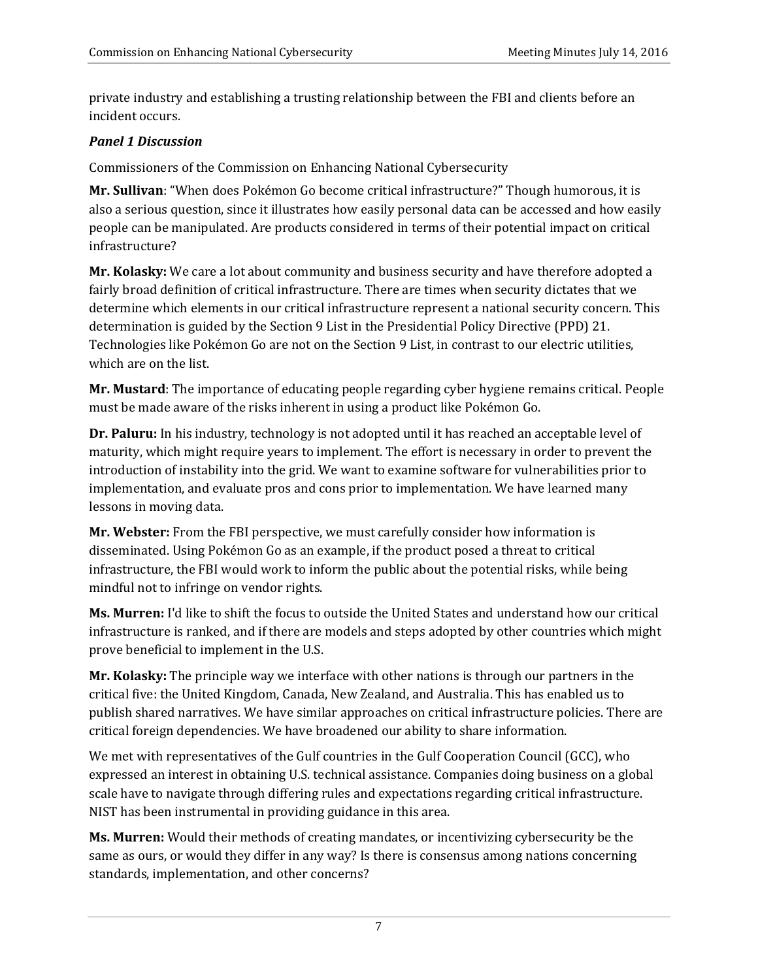private industry and establishing a trusting relationship between the FBI and clients before an incident occurs.

#### *Panel 1 Discussion*

Commissioners of the Commission on Enhancing National Cybersecurity

Mr. Sullivan: "When does Pokémon Go become critical infrastructure?" Though humorous, it is also a serious question, since it illustrates how easily personal data can be accessed and how easily people can be manipulated. Are products considered in terms of their potential impact on critical infrastructure? 

Mr. Kolasky: We care a lot about community and business security and have therefore adopted a fairly broad definition of critical infrastructure. There are times when security dictates that we determine which elements in our critical infrastructure represent a national security concern. This determination is guided by the Section 9 List in the Presidential Policy Directive (PPD) 21. Technologies like Pokémon Go are not on the Section 9 List, in contrast to our electric utilities, which are on the list.

**Mr. Mustard**: The importance of educating people regarding cyber hygiene remains critical. People must be made aware of the risks inherent in using a product like Pokémon Go.

**Dr.** Paluru: In his industry, technology is not adopted until it has reached an acceptable level of maturity, which might require years to implement. The effort is necessary in order to prevent the introduction of instability into the grid. We want to examine software for vulnerabilities prior to implementation, and evaluate pros and cons prior to implementation. We have learned many lessons in moving data.

**Mr. Webster:** From the FBI perspective, we must carefully consider how information is disseminated. Using Pokémon Go as an example, if the product posed a threat to critical infrastructure, the FBI would work to inform the public about the potential risks, while being mindful not to infringe on vendor rights.

**Ms. Murren:** I'd like to shift the focus to outside the United States and understand how our critical infrastructure is ranked, and if there are models and steps adopted by other countries which might prove beneficial to implement in the U.S.

**Mr. Kolasky:** The principle way we interface with other nations is through our partners in the critical five: the United Kingdom, Canada, New Zealand, and Australia. This has enabled us to publish shared narratives. We have similar approaches on critical infrastructure policies. There are critical foreign dependencies. We have broadened our ability to share information.

We met with representatives of the Gulf countries in the Gulf Cooperation Council (GCC), who expressed an interest in obtaining U.S. technical assistance. Companies doing business on a global scale have to navigate through differing rules and expectations regarding critical infrastructure. NIST has been instrumental in providing guidance in this area.

**Ms. Murren:** Would their methods of creating mandates, or incentivizing cybersecurity be the same as ours, or would they differ in any way? Is there is consensus among nations concerning standards, implementation, and other concerns?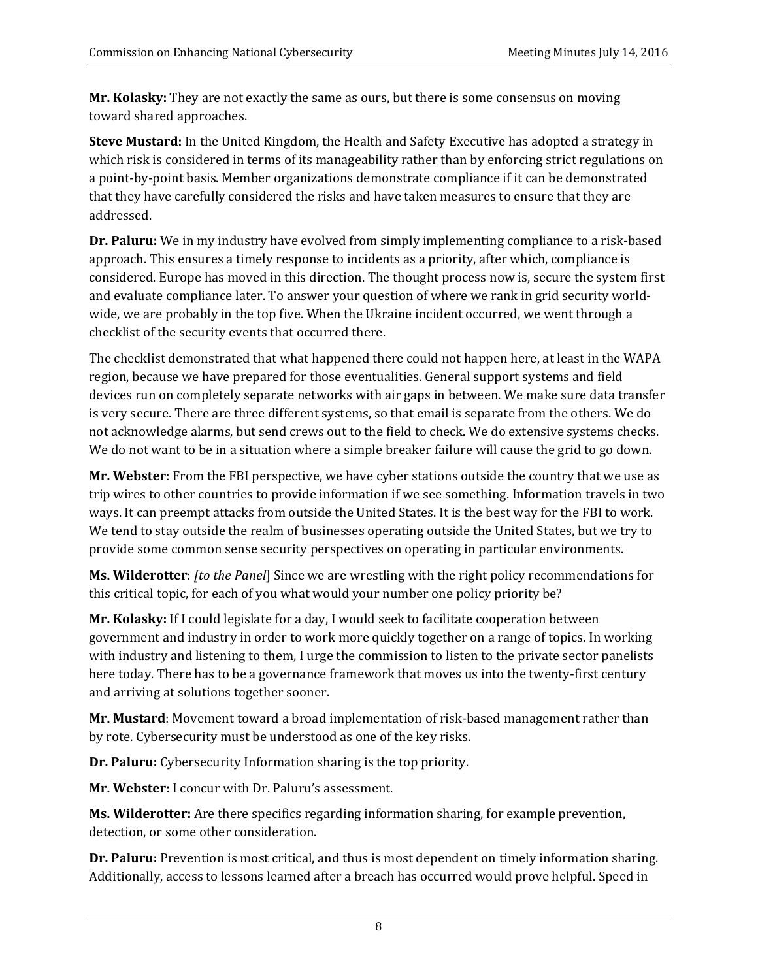**Mr. Kolasky:** They are not exactly the same as ours, but there is some consensus on moving toward shared approaches.

**Steve Mustard:** In the United Kingdom, the Health and Safety Executive has adopted a strategy in which risk is considered in terms of its manageability rather than by enforcing strict regulations on a point-by-point basis. Member organizations demonstrate compliance if it can be demonstrated that they have carefully considered the risks and have taken measures to ensure that they are addressed. 

**Dr. Paluru:** We in my industry have evolved from simply implementing compliance to a risk-based approach. This ensures a timely response to incidents as a priority, after which, compliance is considered. Europe has moved in this direction. The thought process now is, secure the system first and evaluate compliance later. To answer your question of where we rank in grid security worldwide, we are probably in the top five. When the Ukraine incident occurred, we went through a checklist of the security events that occurred there.

The checklist demonstrated that what happened there could not happen here, at least in the WAPA region, because we have prepared for those eventualities. General support systems and field devices run on completely separate networks with air gaps in between. We make sure data transfer is very secure. There are three different systems, so that email is separate from the others. We do not acknowledge alarms, but send crews out to the field to check. We do extensive systems checks. We do not want to be in a situation where a simple breaker failure will cause the grid to go down.

**Mr. Webster**: From the FBI perspective, we have cyber stations outside the country that we use as trip wires to other countries to provide information if we see something. Information travels in two ways. It can preempt attacks from outside the United States. It is the best way for the FBI to work. We tend to stay outside the realm of businesses operating outside the United States, but we try to provide some common sense security perspectives on operating in particular environments.

**Ms. Wilderotter**: *[to the Panel]* Since we are wrestling with the right policy recommendations for this critical topic, for each of you what would your number one policy priority be?

Mr. Kolasky: If I could legislate for a day, I would seek to facilitate cooperation between government and industry in order to work more quickly together on a range of topics. In working with industry and listening to them, I urge the commission to listen to the private sector panelists here today. There has to be a governance framework that moves us into the twenty-first century and arriving at solutions together sooner.

**Mr. Mustard**: Movement toward a broad implementation of risk-based management rather than by rote. Cybersecurity must be understood as one of the key risks.

**Dr. Paluru:** Cybersecurity Information sharing is the top priority.

**Mr. Webster:** I concur with Dr. Paluru's assessment.

**Ms. Wilderotter:** Are there specifics regarding information sharing, for example prevention, detection, or some other consideration.

**Dr. Paluru:** Prevention is most critical, and thus is most dependent on timely information sharing. Additionally, access to lessons learned after a breach has occurred would prove helpful. Speed in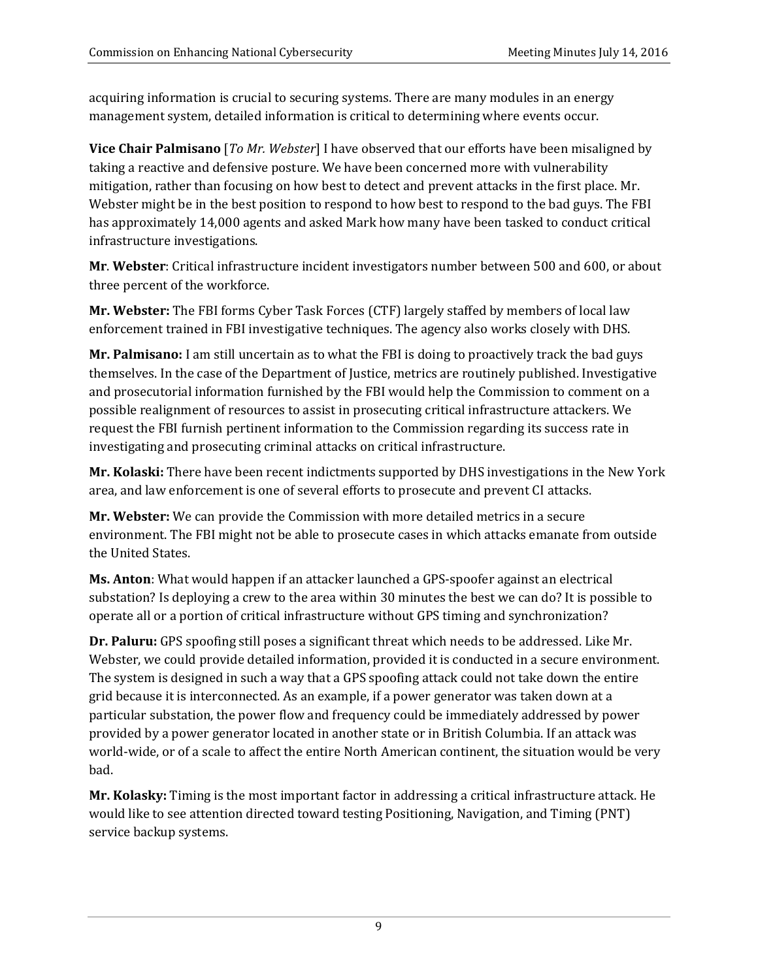acquiring information is crucial to securing systems. There are many modules in an energy management system, detailed information is critical to determining where events occur.

**Vice Chair Palmisano** [*To Mr. Webster*] I have observed that our efforts have been misaligned by taking a reactive and defensive posture. We have been concerned more with vulnerability mitigation, rather than focusing on how best to detect and prevent attacks in the first place. Mr. Webster might be in the best position to respond to how best to respond to the bad guys. The FBI has approximately 14,000 agents and asked Mark how many have been tasked to conduct critical infrastructure investigations.

**Mr. Webster:** Critical infrastructure incident investigators number between 500 and 600, or about three percent of the workforce.

**Mr. Webster:** The FBI forms Cyber Task Forces (CTF) largely staffed by members of local law enforcement trained in FBI investigative techniques. The agency also works closely with DHS.

**Mr. Palmisano:** I am still uncertain as to what the FBI is doing to proactively track the bad guys themselves. In the case of the Department of Justice, metrics are routinely published. Investigative and prosecutorial information furnished by the FBI would help the Commission to comment on a possible realignment of resources to assist in prosecuting critical infrastructure attackers. We request the FBI furnish pertinent information to the Commission regarding its success rate in investigating and prosecuting criminal attacks on critical infrastructure.

**Mr. Kolaski:** There have been recent indictments supported by DHS investigations in the New York area, and law enforcement is one of several efforts to prosecute and prevent CI attacks.

**Mr. Webster:** We can provide the Commission with more detailed metrics in a secure environment. The FBI might not be able to prosecute cases in which attacks emanate from outside the United States.

**Ms. Anton**: What would happen if an attacker launched a GPS-spoofer against an electrical substation? Is deploying a crew to the area within 30 minutes the best we can do? It is possible to operate all or a portion of critical infrastructure without GPS timing and synchronization?

**Dr. Paluru:** GPS spoofing still poses a significant threat which needs to be addressed. Like Mr. Webster, we could provide detailed information, provided it is conducted in a secure environment. The system is designed in such a way that a GPS spoofing attack could not take down the entire grid because it is interconnected. As an example, if a power generator was taken down at a particular substation, the power flow and frequency could be immediately addressed by power provided by a power generator located in another state or in British Columbia. If an attack was world-wide, or of a scale to affect the entire North American continent, the situation would be very bad. 

Mr. Kolasky: Timing is the most important factor in addressing a critical infrastructure attack. He would like to see attention directed toward testing Positioning, Navigation, and Timing (PNT) service backup systems.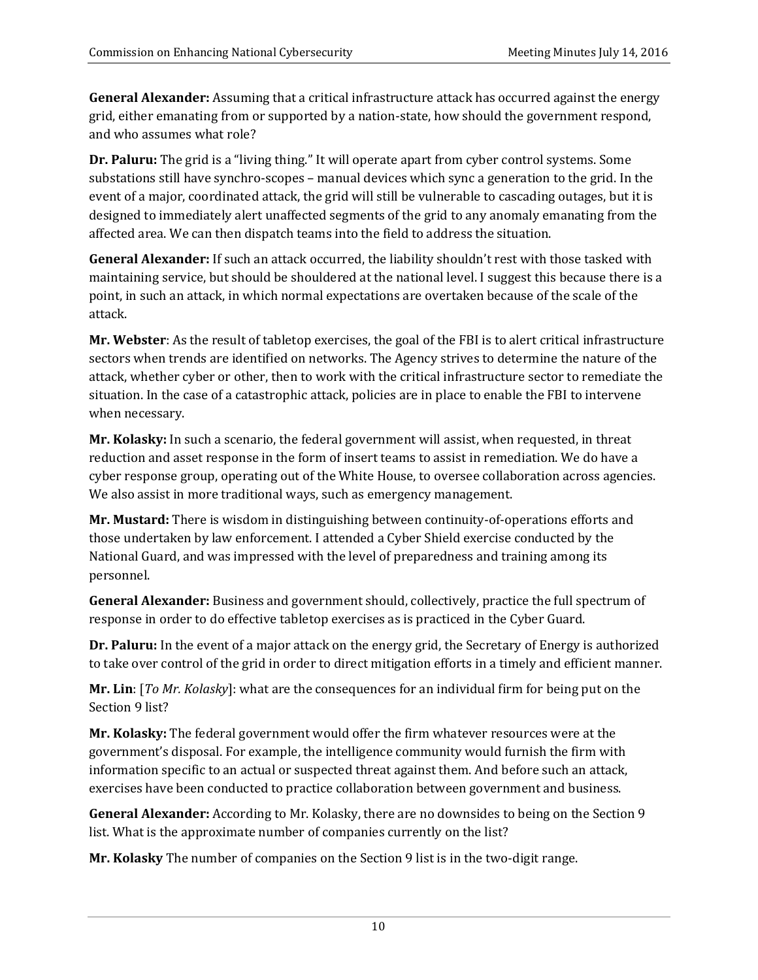**General Alexander:** Assuming that a critical infrastructure attack has occurred against the energy grid, either emanating from or supported by a nation-state, how should the government respond, and who assumes what role?

**Dr. Paluru:** The grid is a "living thing." It will operate apart from cyber control systems. Some substations still have synchro-scopes – manual devices which sync a generation to the grid. In the event of a major, coordinated attack, the grid will still be vulnerable to cascading outages, but it is designed to immediately alert unaffected segments of the grid to any anomaly emanating from the affected area. We can then dispatch teams into the field to address the situation.

**General Alexander:** If such an attack occurred, the liability shouldn't rest with those tasked with maintaining service, but should be shouldered at the national level. I suggest this because there is a point, in such an attack, in which normal expectations are overtaken because of the scale of the attack. 

**Mr. Webster**: As the result of tabletop exercises, the goal of the FBI is to alert critical infrastructure sectors when trends are identified on networks. The Agency strives to determine the nature of the attack, whether cyber or other, then to work with the critical infrastructure sector to remediate the situation. In the case of a catastrophic attack, policies are in place to enable the FBI to intervene when necessary.

**Mr. Kolasky:** In such a scenario, the federal government will assist, when requested, in threat reduction and asset response in the form of insert teams to assist in remediation. We do have a cyber response group, operating out of the White House, to oversee collaboration across agencies. We also assist in more traditional ways, such as emergency management.

**Mr. Mustard:** There is wisdom in distinguishing between continuity-of-operations efforts and those undertaken by law enforcement. I attended a Cyber Shield exercise conducted by the National Guard, and was impressed with the level of preparedness and training among its personnel. 

**General Alexander:** Business and government should, collectively, practice the full spectrum of response in order to do effective tabletop exercises as is practiced in the Cyber Guard.

**Dr. Paluru:** In the event of a major attack on the energy grid, the Secretary of Energy is authorized to take over control of the grid in order to direct mitigation efforts in a timely and efficient manner.

**Mr. Lin**: [*To Mr. Kolasky*]: what are the consequences for an individual firm for being put on the Section 9 list?

**Mr. Kolasky:** The federal government would offer the firm whatever resources were at the government's disposal. For example, the intelligence community would furnish the firm with information specific to an actual or suspected threat against them. And before such an attack, exercises have been conducted to practice collaboration between government and business.

**General Alexander:** According to Mr. Kolasky, there are no downsides to being on the Section 9 list. What is the approximate number of companies currently on the list?

**Mr. Kolasky** The number of companies on the Section 9 list is in the two-digit range.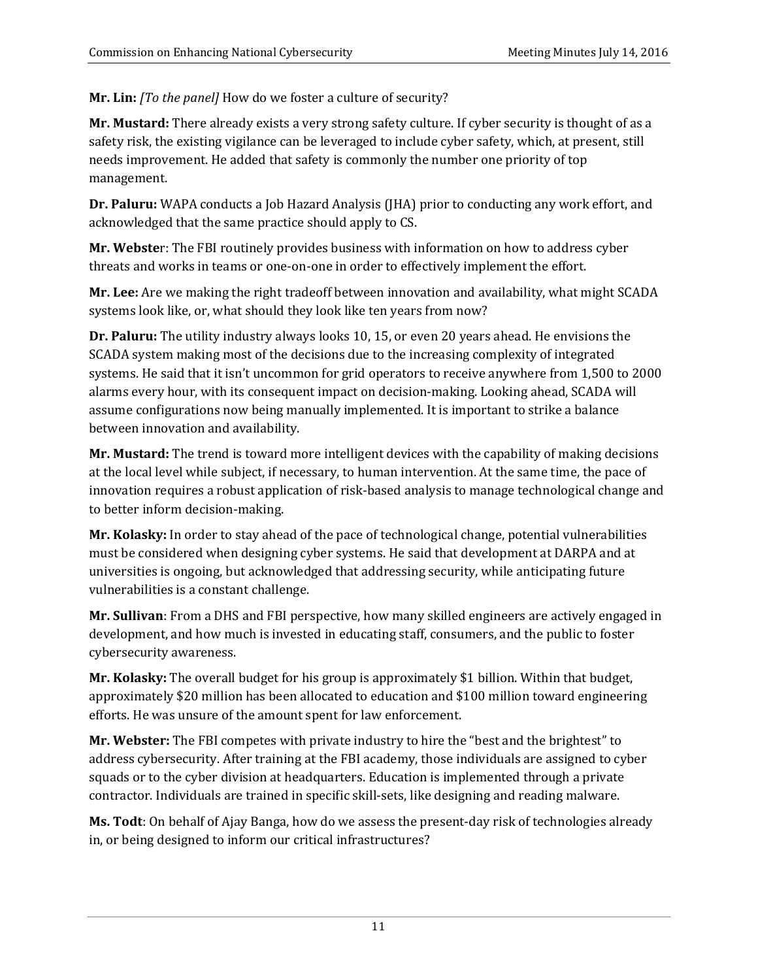**Mr. Lin:** *[To the panel]* How do we foster a culture of security?

Mr. Mustard: There already exists a very strong safety culture. If cyber security is thought of as a safety risk, the existing vigilance can be leveraged to include cyber safety, which, at present, still needs improvement. He added that safety is commonly the number one priority of top management. 

**Dr. Paluru:** WAPA conducts a Job Hazard Analysis (JHA) prior to conducting any work effort, and acknowledged that the same practice should apply to CS.

**Mr. Webste**r: The FBI routinely provides business with information on how to address cyber threats and works in teams or one-on-one in order to effectively implement the effort.

Mr. Lee: Are we making the right tradeoff between innovation and availability, what might SCADA systems look like, or, what should they look like ten years from now?

**Dr. Paluru:** The utility industry always looks 10, 15, or even 20 years ahead. He envisions the SCADA system making most of the decisions due to the increasing complexity of integrated systems. He said that it isn't uncommon for grid operators to receive anywhere from 1,500 to 2000 alarms every hour, with its consequent impact on decision-making. Looking ahead, SCADA will assume configurations now being manually implemented. It is important to strike a balance between innovation and availability.

**Mr. Mustard:** The trend is toward more intelligent devices with the capability of making decisions at the local level while subject, if necessary, to human intervention. At the same time, the pace of innovation requires a robust application of risk-based analysis to manage technological change and to better inform decision-making.

**Mr. Kolasky:** In order to stay ahead of the pace of technological change, potential vulnerabilities must be considered when designing cyber systems. He said that development at DARPA and at universities is ongoing, but acknowledged that addressing security, while anticipating future vulnerabilities is a constant challenge.

**Mr. Sullivan**: From a DHS and FBI perspective, how many skilled engineers are actively engaged in development, and how much is invested in educating staff, consumers, and the public to foster cybersecurity awareness.

**Mr. Kolasky:** The overall budget for his group is approximately \$1 billion. Within that budget, approximately \$20 million has been allocated to education and \$100 million toward engineering efforts. He was unsure of the amount spent for law enforcement.

Mr. Webster: The FBI competes with private industry to hire the "best and the brightest" to address cybersecurity. After training at the FBI academy, those individuals are assigned to cyber squads or to the cyber division at headquarters. Education is implemented through a private contractor. Individuals are trained in specific skill-sets, like designing and reading malware.

**Ms. Todt**: On behalf of Ajay Banga, how do we assess the present-day risk of technologies already in, or being designed to inform our critical infrastructures?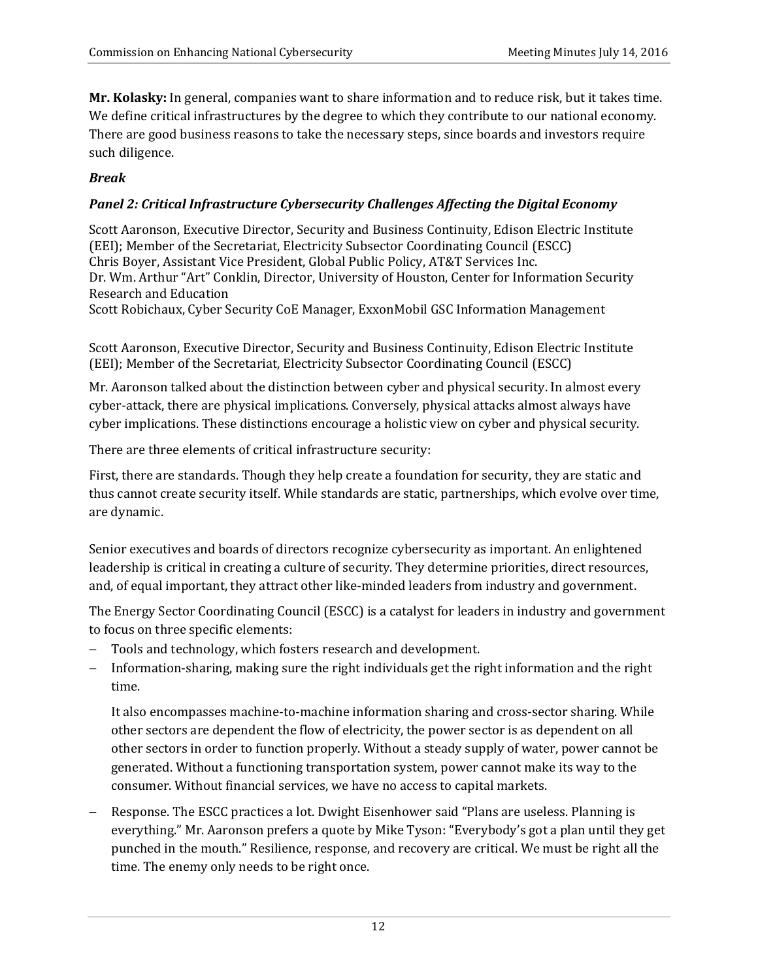**Mr. Kolasky:** In general, companies want to share information and to reduce risk, but it takes time. We define critical infrastructures by the degree to which they contribute to our national economy. There are good business reasons to take the necessary steps, since boards and investors require such diligence.

### *Break*

#### *Panel 2: Critical Infrastructure Cybersecurity Challenges Affecting the Digital Economy*

Scott Aaronson, Executive Director, Security and Business Continuity, Edison Electric Institute (EEI); Member of the Secretariat, Electricity Subsector Coordinating Council (ESCC) Chris Boyer, Assistant Vice President, Global Public Policy, AT&T Services Inc. Dr. Wm. Arthur "Art" Conklin, Director, University of Houston, Center for Information Security Research and Education

Scott Robichaux, Cyber Security CoE Manager, ExxonMobil GSC Information Management

Scott Aaronson, Executive Director, Security and Business Continuity, Edison Electric Institute (EEI); Member of the Secretariat, Electricity Subsector Coordinating Council (ESCC)

Mr. Aaronson talked about the distinction between cyber and physical security. In almost every cyber-attack, there are physical implications. Conversely, physical attacks almost always have cyber implications. These distinctions encourage a holistic view on cyber and physical security.

There are three elements of critical infrastructure security:

First, there are standards. Though they help create a foundation for security, they are static and thus cannot create security itself. While standards are static, partnerships, which evolve over time, are dynamic.

Senior executives and boards of directors recognize cybersecurity as important. An enlightened leadership is critical in creating a culture of security. They determine priorities, direct resources, and, of equal important, they attract other like-minded leaders from industry and government.

The Energy Sector Coordinating Council (ESCC) is a catalyst for leaders in industry and government to focus on three specific elements:

- Tools and technology, which fosters research and development.
- Information-sharing, making sure the right individuals get the right information and the right time.

It also encompasses machine-to-machine information sharing and cross-sector sharing. While other sectors are dependent the flow of electricity, the power sector is as dependent on all other sectors in order to function properly. Without a steady supply of water, power cannot be generated. Without a functioning transportation system, power cannot make its way to the consumer. Without financial services, we have no access to capital markets.

Response. The ESCC practices a lot. Dwight Eisenhower said "Plans are useless. Planning is everything." Mr. Aaronson prefers a quote by Mike Tyson: "Everybody's got a plan until they get punched in the mouth." Resilience, response, and recovery are critical. We must be right all the time. The enemy only needs to be right once.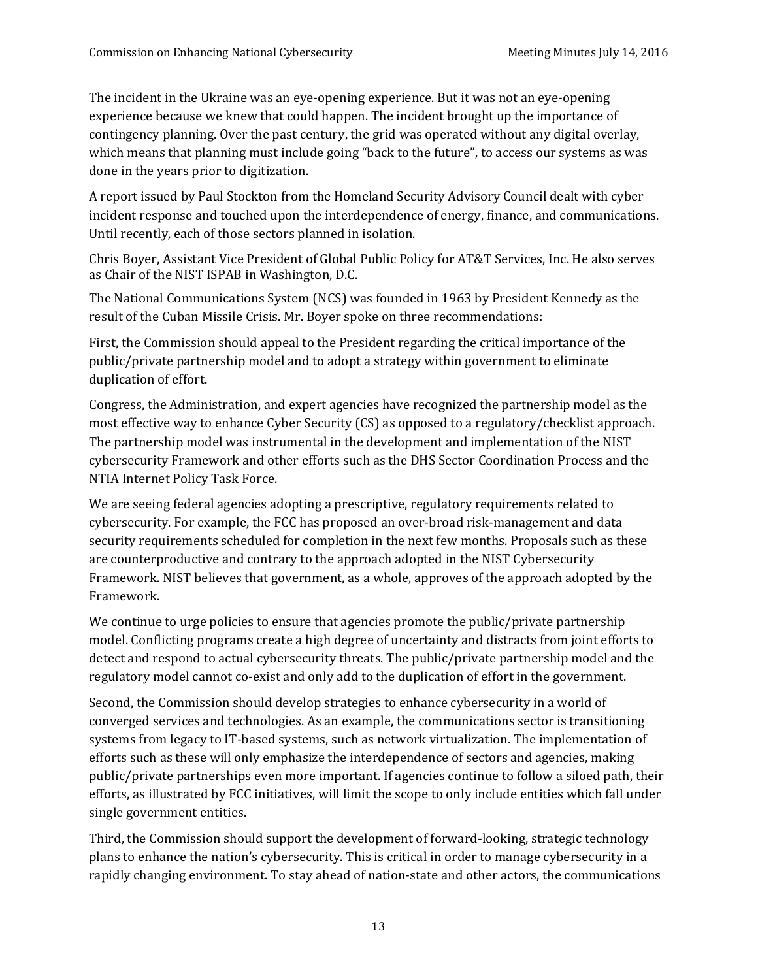The incident in the Ukraine was an eye-opening experience. But it was not an eye-opening experience because we knew that could happen. The incident brought up the importance of contingency planning. Over the past century, the grid was operated without any digital overlay, which means that planning must include going "back to the future", to access our systems as was done in the years prior to digitization.

A report issued by Paul Stockton from the Homeland Security Advisory Council dealt with cyber incident response and touched upon the interdependence of energy, finance, and communications. Until recently, each of those sectors planned in isolation.

Chris Boyer, Assistant Vice President of Global Public Policy for AT&T Services, Inc. He also serves as Chair of the NIST ISPAB in Washington, D.C.

The National Communications System (NCS) was founded in 1963 by President Kennedy as the result of the Cuban Missile Crisis. Mr. Boyer spoke on three recommendations:

First, the Commission should appeal to the President regarding the critical importance of the public/private partnership model and to adopt a strategy within government to eliminate duplication of effort.

Congress, the Administration, and expert agencies have recognized the partnership model as the most effective way to enhance Cyber Security (CS) as opposed to a regulatory/checklist approach. The partnership model was instrumental in the development and implementation of the NIST cybersecurity Framework and other efforts such as the DHS Sector Coordination Process and the NTIA Internet Policy Task Force.

We are seeing federal agencies adopting a prescriptive, regulatory requirements related to cybersecurity. For example, the FCC has proposed an over-broad risk-management and data security requirements scheduled for completion in the next few months. Proposals such as these are counterproductive and contrary to the approach adopted in the NIST Cybersecurity Framework. NIST believes that government, as a whole, approves of the approach adopted by the Framework. 

We continue to urge policies to ensure that agencies promote the public/private partnership model. Conflicting programs create a high degree of uncertainty and distracts from joint efforts to detect and respond to actual cybersecurity threats. The public/private partnership model and the regulatory model cannot co-exist and only add to the duplication of effort in the government.

Second, the Commission should develop strategies to enhance cybersecurity in a world of converged services and technologies. As an example, the communications sector is transitioning systems from legacy to IT-based systems, such as network virtualization. The implementation of efforts such as these will only emphasize the interdependence of sectors and agencies, making public/private partnerships even more important. If agencies continue to follow a siloed path, their efforts, as illustrated by FCC initiatives, will limit the scope to only include entities which fall under single government entities.

Third, the Commission should support the development of forward-looking, strategic technology plans to enhance the nation's cybersecurity. This is critical in order to manage cybersecurity in a rapidly changing environment. To stay ahead of nation-state and other actors, the communications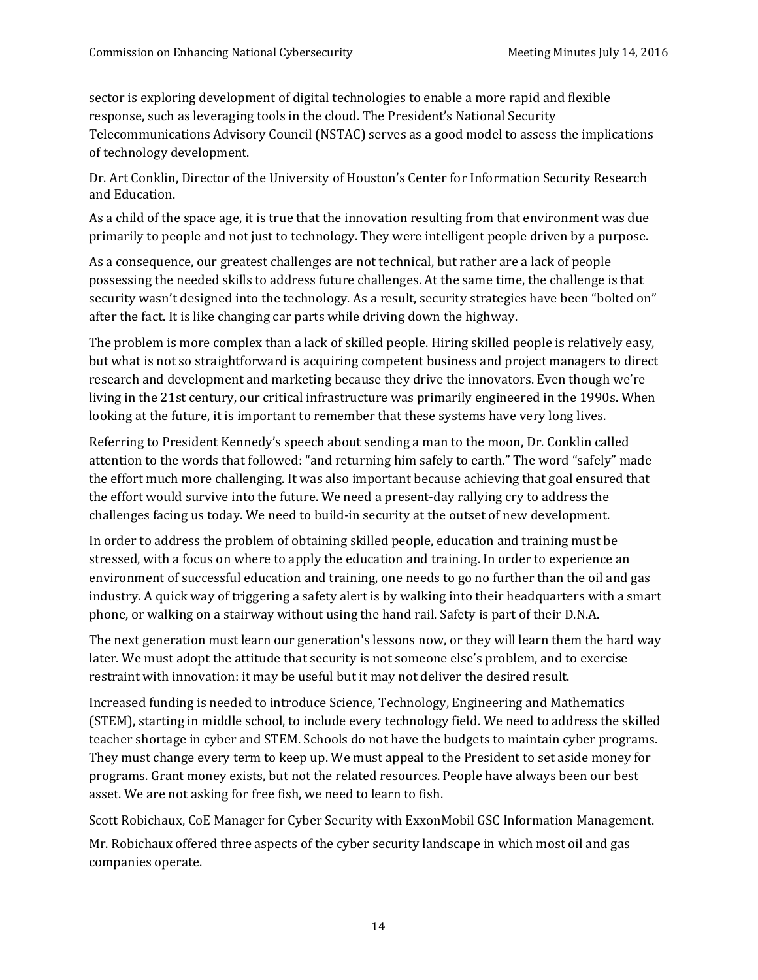sector is exploring development of digital technologies to enable a more rapid and flexible response, such as leveraging tools in the cloud. The President's National Security Telecommunications Advisory Council (NSTAC) serves as a good model to assess the implications of technology development.

Dr. Art Conklin, Director of the University of Houston's Center for Information Security Research and Education.

As a child of the space age, it is true that the innovation resulting from that environment was due primarily to people and not just to technology. They were intelligent people driven by a purpose.

As a consequence, our greatest challenges are not technical, but rather are a lack of people possessing the needed skills to address future challenges. At the same time, the challenge is that security wasn't designed into the technology. As a result, security strategies have been "bolted on" after the fact. It is like changing car parts while driving down the highway.

The problem is more complex than a lack of skilled people. Hiring skilled people is relatively easy, but what is not so straightforward is acquiring competent business and project managers to direct research and development and marketing because they drive the innovators. Even though we're living in the 21st century, our critical infrastructure was primarily engineered in the 1990s. When looking at the future, it is important to remember that these systems have very long lives.

Referring to President Kennedy's speech about sending a man to the moon, Dr. Conklin called attention to the words that followed: "and returning him safely to earth." The word "safely" made the effort much more challenging. It was also important because achieving that goal ensured that the effort would survive into the future. We need a present-day rallying cry to address the challenges facing us today. We need to build-in security at the outset of new development.

In order to address the problem of obtaining skilled people, education and training must be stressed, with a focus on where to apply the education and training. In order to experience an environment of successful education and training, one needs to go no further than the oil and gas industry. A quick way of triggering a safety alert is by walking into their headquarters with a smart phone, or walking on a stairway without using the hand rail. Safety is part of their D.N.A.

The next generation must learn our generation's lessons now, or they will learn them the hard way later. We must adopt the attitude that security is not someone else's problem, and to exercise restraint with innovation: it may be useful but it may not deliver the desired result.

Increased funding is needed to introduce Science, Technology, Engineering and Mathematics (STEM), starting in middle school, to include every technology field. We need to address the skilled teacher shortage in cyber and STEM. Schools do not have the budgets to maintain cyber programs. They must change every term to keep up. We must appeal to the President to set aside money for programs. Grant money exists, but not the related resources. People have always been our best asset. We are not asking for free fish, we need to learn to fish.

Scott Robichaux, CoE Manager for Cyber Security with ExxonMobil GSC Information Management.

Mr. Robichaux offered three aspects of the cyber security landscape in which most oil and gas companies operate.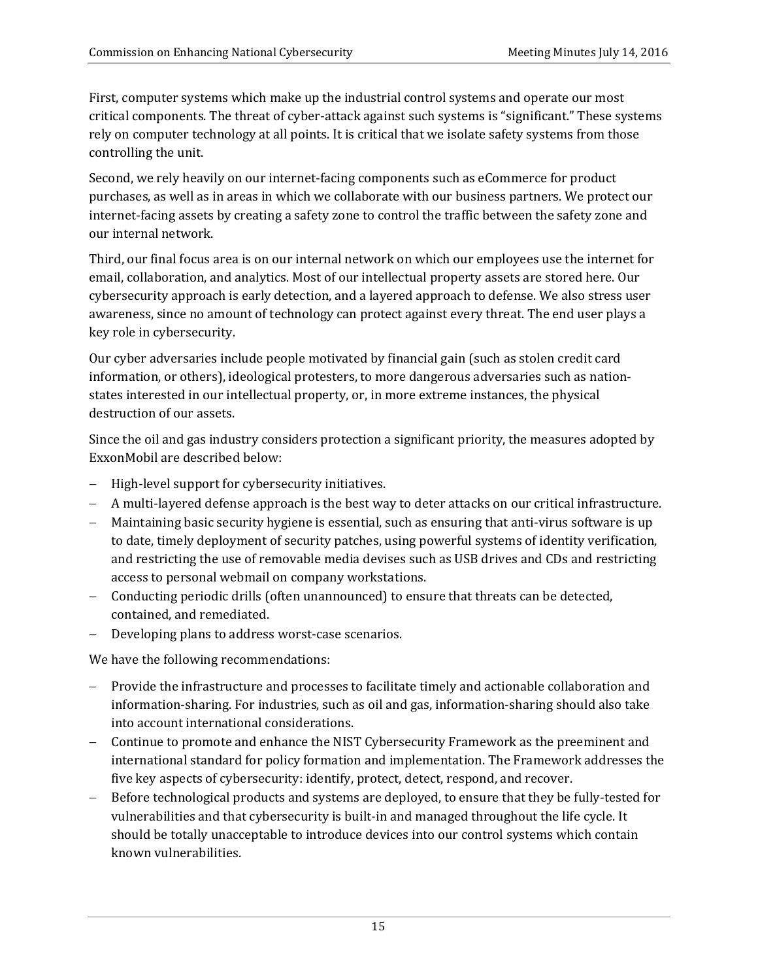First, computer systems which make up the industrial control systems and operate our most critical components. The threat of cyber-attack against such systems is "significant." These systems rely on computer technology at all points. It is critical that we isolate safety systems from those controlling the unit.

Second, we rely heavily on our internet-facing components such as eCommerce for product purchases, as well as in areas in which we collaborate with our business partners. We protect our internet-facing assets by creating a safety zone to control the traffic between the safety zone and our internal network.

Third, our final focus area is on our internal network on which our employees use the internet for email, collaboration, and analytics. Most of our intellectual property assets are stored here. Our cybersecurity approach is early detection, and a layered approach to defense. We also stress user awareness, since no amount of technology can protect against every threat. The end user plays a key role in cybersecurity.

Our cyber adversaries include people motivated by financial gain (such as stolen credit card information, or others), ideological protesters, to more dangerous adversaries such as nationstates interested in our intellectual property, or, in more extreme instances, the physical destruction of our assets.

Since the oil and gas industry considers protection a significant priority, the measures adopted by ExxonMobil are described below:

- High-level support for cybersecurity initiatives.
- A multi-layered defense approach is the best way to deter attacks on our critical infrastructure.
- Maintaining basic security hygiene is essential, such as ensuring that anti-virus software is up to date, timely deployment of security patches, using powerful systems of identity verification, and restricting the use of removable media devises such as USB drives and CDs and restricting access to personal webmail on company workstations.
- Conducting periodic drills (often unannounced) to ensure that threats can be detected, contained, and remediated.
- Developing plans to address worst-case scenarios.

We have the following recommendations:

- Provide the infrastructure and processes to facilitate timely and actionable collaboration and information-sharing. For industries, such as oil and gas, information-sharing should also take into account international considerations.
- Continue to promote and enhance the NIST Cybersecurity Framework as the preeminent and international standard for policy formation and implementation. The Framework addresses the five key aspects of cybersecurity: identify, protect, detect, respond, and recover.
- Before technological products and systems are deployed, to ensure that they be fully-tested for vulnerabilities and that cybersecurity is built-in and managed throughout the life cycle. It should be totally unacceptable to introduce devices into our control systems which contain known vulnerabilities.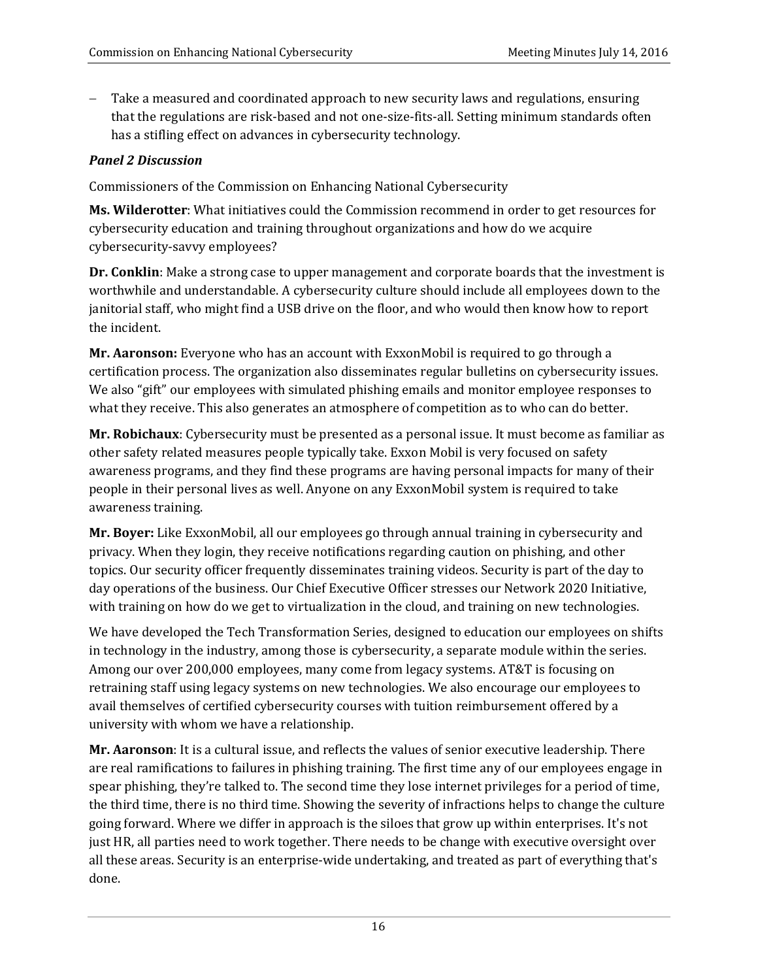Take a measured and coordinated approach to new security laws and regulations, ensuring that the regulations are risk-based and not one-size-fits-all. Setting minimum standards often has a stifling effect on advances in cybersecurity technology.

#### *Panel 2 Discussion*

Commissioners of the Commission on Enhancing National Cybersecurity

**Ms. Wilderotter**: What initiatives could the Commission recommend in order to get resources for cybersecurity education and training throughout organizations and how do we acquire cybersecurity-savvy employees?

**Dr.** Conklin: Make a strong case to upper management and corporate boards that the investment is worthwhile and understandable. A cybersecurity culture should include all employees down to the janitorial staff, who might find a USB drive on the floor, and who would then know how to report the incident.

**Mr. Aaronson:** Everyone who has an account with ExxonMobil is required to go through a certification process. The organization also disseminates regular bulletins on cybersecurity issues. We also "gift" our employees with simulated phishing emails and monitor employee responses to what they receive. This also generates an atmosphere of competition as to who can do better.

**Mr. Robichaux**: Cybersecurity must be presented as a personal issue. It must become as familiar as other safety related measures people typically take. Exxon Mobil is very focused on safety awareness programs, and they find these programs are having personal impacts for many of their people in their personal lives as well. Anyone on any ExxonMobil system is required to take awareness training.

**Mr. Boyer:** Like ExxonMobil, all our employees go through annual training in cybersecurity and privacy. When they login, they receive notifications regarding caution on phishing, and other topics. Our security officer frequently disseminates training videos. Security is part of the day to day operations of the business. Our Chief Executive Officer stresses our Network 2020 Initiative, with training on how do we get to virtualization in the cloud, and training on new technologies.

We have developed the Tech Transformation Series, designed to education our employees on shifts in technology in the industry, among those is cybersecurity, a separate module within the series. Among our over 200,000 employees, many come from legacy systems. AT&T is focusing on retraining staff using legacy systems on new technologies. We also encourage our employees to avail themselves of certified cybersecurity courses with tuition reimbursement offered by a university with whom we have a relationship.

**Mr. Aaronson**: It is a cultural issue, and reflects the values of senior executive leadership. There are real ramifications to failures in phishing training. The first time any of our employees engage in spear phishing, they're talked to. The second time they lose internet privileges for a period of time, the third time, there is no third time. Showing the severity of infractions helps to change the culture going forward. Where we differ in approach is the siloes that grow up within enterprises. It's not just HR, all parties need to work together. There needs to be change with executive oversight over all these areas. Security is an enterprise-wide undertaking, and treated as part of everything that's done.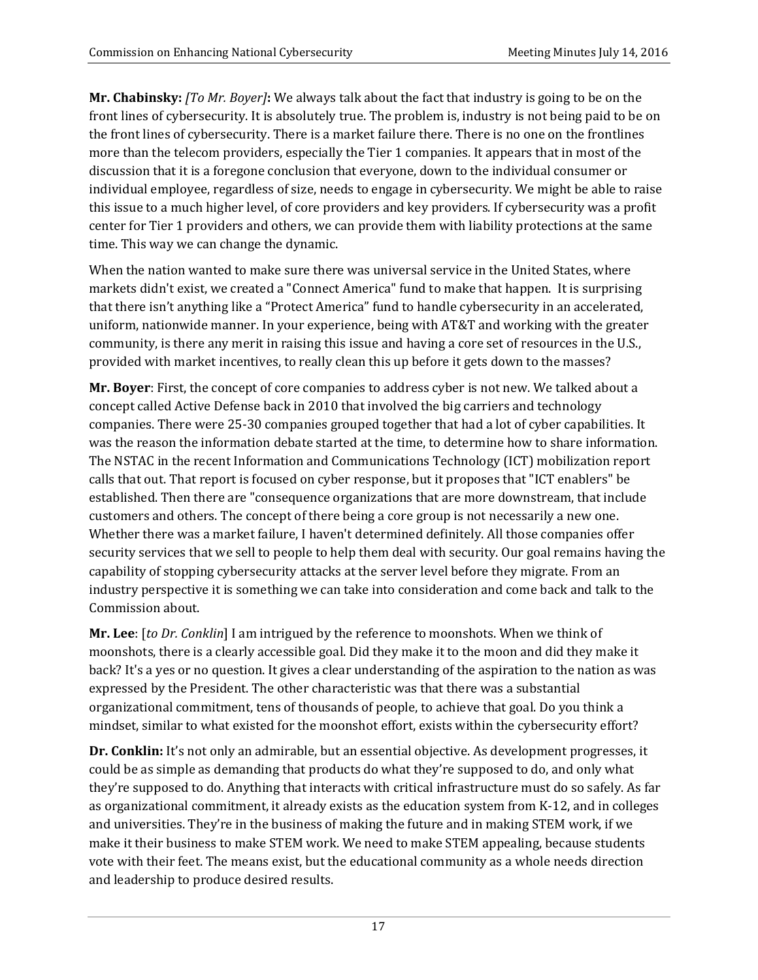**Mr. Chabinsky:** *[To Mr. Boyer]*: We always talk about the fact that industry is going to be on the front lines of cybersecurity. It is absolutely true. The problem is, industry is not being paid to be on the front lines of cybersecurity. There is a market failure there. There is no one on the frontlines more than the telecom providers, especially the Tier 1 companies. It appears that in most of the discussion that it is a foregone conclusion that everyone, down to the individual consumer or individual employee, regardless of size, needs to engage in cybersecurity. We might be able to raise this issue to a much higher level, of core providers and key providers. If cybersecurity was a profit center for Tier 1 providers and others, we can provide them with liability protections at the same time. This way we can change the dynamic.

When the nation wanted to make sure there was universal service in the United States, where markets didn't exist, we created a "Connect America" fund to make that happen. It is surprising that there isn't anything like a "Protect America" fund to handle cybersecurity in an accelerated, uniform, nationwide manner. In your experience, being with AT&T and working with the greater community, is there any merit in raising this issue and having a core set of resources in the U.S., provided with market incentives, to really clean this up before it gets down to the masses?

**Mr. Boyer**: First, the concept of core companies to address cyber is not new. We talked about a concept called Active Defense back in 2010 that involved the big carriers and technology companies. There were 25-30 companies grouped together that had a lot of cyber capabilities. It was the reason the information debate started at the time, to determine how to share information. The NSTAC in the recent Information and Communications Technology (ICT) mobilization report calls that out. That report is focused on cyber response, but it proposes that "ICT enablers" be established. Then there are "consequence organizations that are more downstream, that include customers and others. The concept of there being a core group is not necessarily a new one. Whether there was a market failure, I haven't determined definitely. All those companies offer security services that we sell to people to help them deal with security. Our goal remains having the capability of stopping cybersecurity attacks at the server level before they migrate. From an industry perspective it is something we can take into consideration and come back and talk to the Commission about.

**Mr. Lee**: [to *Dr. Conklin*] I am intrigued by the reference to moonshots. When we think of moonshots, there is a clearly accessible goal. Did they make it to the moon and did they make it back? It's a yes or no question. It gives a clear understanding of the aspiration to the nation as was expressed by the President. The other characteristic was that there was a substantial organizational commitment, tens of thousands of people, to achieve that goal. Do you think a mindset, similar to what existed for the moonshot effort, exists within the cybersecurity effort?

**Dr.** Conklin: It's not only an admirable, but an essential objective. As development progresses, it could be as simple as demanding that products do what they're supposed to do, and only what they're supposed to do. Anything that interacts with critical infrastructure must do so safely. As far as organizational commitment, it already exists as the education system from K-12, and in colleges and universities. They're in the business of making the future and in making STEM work, if we make it their business to make STEM work. We need to make STEM appealing, because students vote with their feet. The means exist, but the educational community as a whole needs direction and leadership to produce desired results.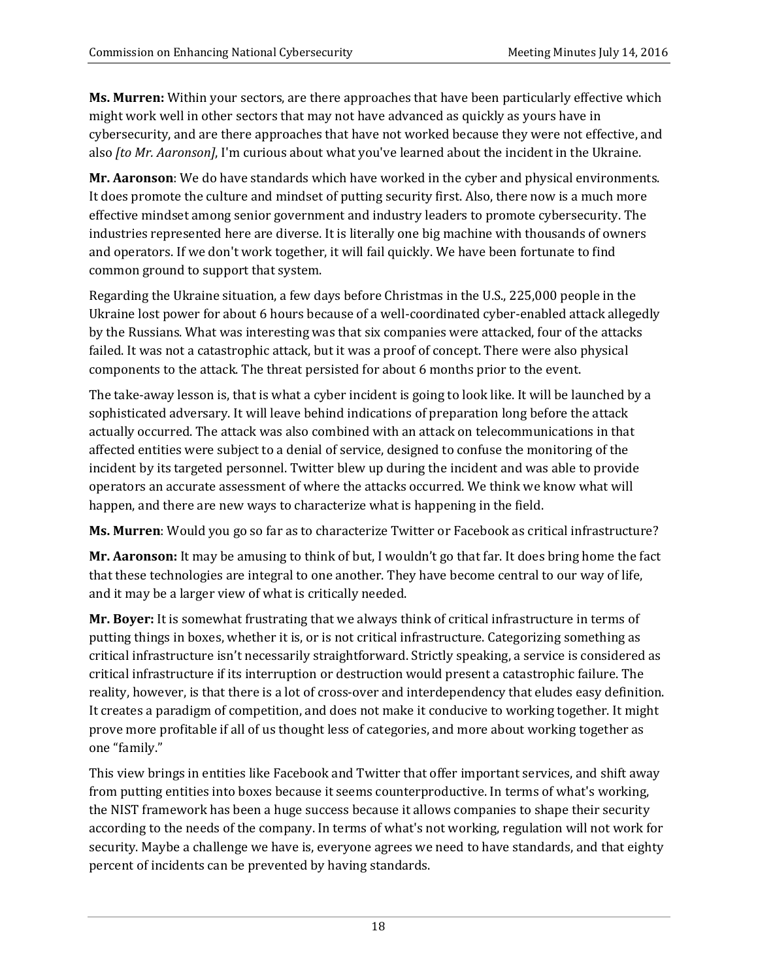**Ms. Murren:** Within your sectors, are there approaches that have been particularly effective which might work well in other sectors that may not have advanced as quickly as yours have in cybersecurity, and are there approaches that have not worked because they were not effective, and also *[to Mr. Aaronson]*, I'm curious about what you've learned about the incident in the Ukraine.

**Mr. Aaronson**: We do have standards which have worked in the cyber and physical environments. It does promote the culture and mindset of putting security first. Also, there now is a much more effective mindset among senior government and industry leaders to promote cybersecurity. The industries represented here are diverse. It is literally one big machine with thousands of owners and operators. If we don't work together, it will fail quickly. We have been fortunate to find common ground to support that system.

Regarding the Ukraine situation, a few days before Christmas in the U.S., 225,000 people in the Ukraine lost power for about 6 hours because of a well-coordinated cyber-enabled attack allegedly by the Russians. What was interesting was that six companies were attacked, four of the attacks failed. It was not a catastrophic attack, but it was a proof of concept. There were also physical components to the attack. The threat persisted for about 6 months prior to the event.

The take-away lesson is, that is what a cyber incident is going to look like. It will be launched by a sophisticated adversary. It will leave behind indications of preparation long before the attack actually occurred. The attack was also combined with an attack on telecommunications in that affected entities were subject to a denial of service, designed to confuse the monitoring of the incident by its targeted personnel. Twitter blew up during the incident and was able to provide operators an accurate assessment of where the attacks occurred. We think we know what will happen, and there are new ways to characterize what is happening in the field.

Ms. Murren: Would you go so far as to characterize Twitter or Facebook as critical infrastructure?

**Mr. Aaronson:** It may be amusing to think of but, I wouldn't go that far. It does bring home the fact that these technologies are integral to one another. They have become central to our way of life, and it may be a larger view of what is critically needed.

Mr. Boyer: It is somewhat frustrating that we always think of critical infrastructure in terms of putting things in boxes, whether it is, or is not critical infrastructure. Categorizing something as critical infrastructure isn't necessarily straightforward. Strictly speaking, a service is considered as critical infrastructure if its interruption or destruction would present a catastrophic failure. The reality, however, is that there is a lot of cross-over and interdependency that eludes easy definition. It creates a paradigm of competition, and does not make it conducive to working together. It might prove more profitable if all of us thought less of categories, and more about working together as one "family."

This view brings in entities like Facebook and Twitter that offer important services, and shift away from putting entities into boxes because it seems counterproductive. In terms of what's working, the NIST framework has been a huge success because it allows companies to shape their security according to the needs of the company. In terms of what's not working, regulation will not work for security. Maybe a challenge we have is, everyone agrees we need to have standards, and that eighty percent of incidents can be prevented by having standards.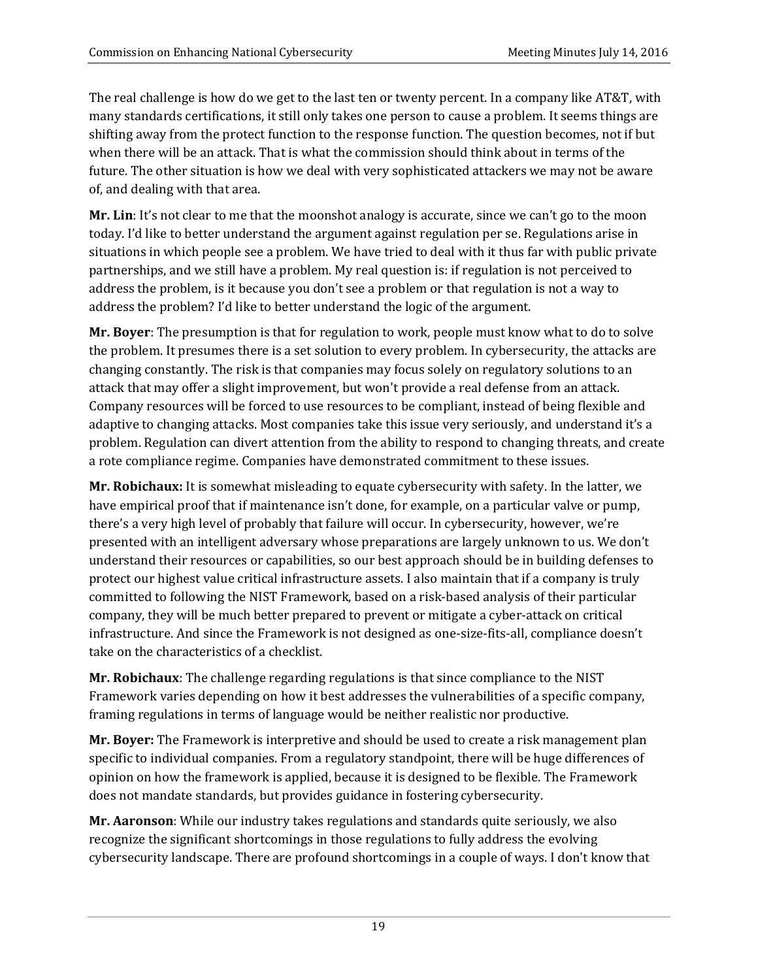The real challenge is how do we get to the last ten or twenty percent. In a company like AT&T, with many standards certifications, it still only takes one person to cause a problem. It seems things are shifting away from the protect function to the response function. The question becomes, not if but when there will be an attack. That is what the commission should think about in terms of the future. The other situation is how we deal with very sophisticated attackers we may not be aware of, and dealing with that area.

**Mr. Lin**: It's not clear to me that the moonshot analogy is accurate, since we can't go to the moon today. I'd like to better understand the argument against regulation per se. Regulations arise in situations in which people see a problem. We have tried to deal with it thus far with public private partnerships, and we still have a problem. My real question is: if regulation is not perceived to address the problem, is it because you don't see a problem or that regulation is not a way to address the problem? I'd like to better understand the logic of the argument.

**Mr. Boyer**: The presumption is that for regulation to work, people must know what to do to solve the problem. It presumes there is a set solution to every problem. In cybersecurity, the attacks are changing constantly. The risk is that companies may focus solely on regulatory solutions to an attack that may offer a slight improvement, but won't provide a real defense from an attack. Company resources will be forced to use resources to be compliant, instead of being flexible and adaptive to changing attacks. Most companies take this issue very seriously, and understand it's a problem. Regulation can divert attention from the ability to respond to changing threats, and create a rote compliance regime. Companies have demonstrated commitment to these issues.

**Mr. Robichaux:** It is somewhat misleading to equate cybersecurity with safety. In the latter, we have empirical proof that if maintenance isn't done, for example, on a particular valve or pump, there's a very high level of probably that failure will occur. In cybersecurity, however, we're presented with an intelligent adversary whose preparations are largely unknown to us. We don't understand their resources or capabilities, so our best approach should be in building defenses to protect our highest value critical infrastructure assets. I also maintain that if a company is truly committed to following the NIST Framework, based on a risk-based analysis of their particular company, they will be much better prepared to prevent or mitigate a cyber-attack on critical infrastructure. And since the Framework is not designed as one-size-fits-all, compliance doesn't take on the characteristics of a checklist.

**Mr. Robichaux**: The challenge regarding regulations is that since compliance to the NIST Framework varies depending on how it best addresses the vulnerabilities of a specific company, framing regulations in terms of language would be neither realistic nor productive.

**Mr. Boyer:** The Framework is interpretive and should be used to create a risk management plan specific to individual companies. From a regulatory standpoint, there will be huge differences of opinion on how the framework is applied, because it is designed to be flexible. The Framework does not mandate standards, but provides guidance in fostering cybersecurity.

**Mr. Aaronson**: While our industry takes regulations and standards quite seriously, we also recognize the significant shortcomings in those regulations to fully address the evolving cybersecurity landscape. There are profound shortcomings in a couple of ways. I don't know that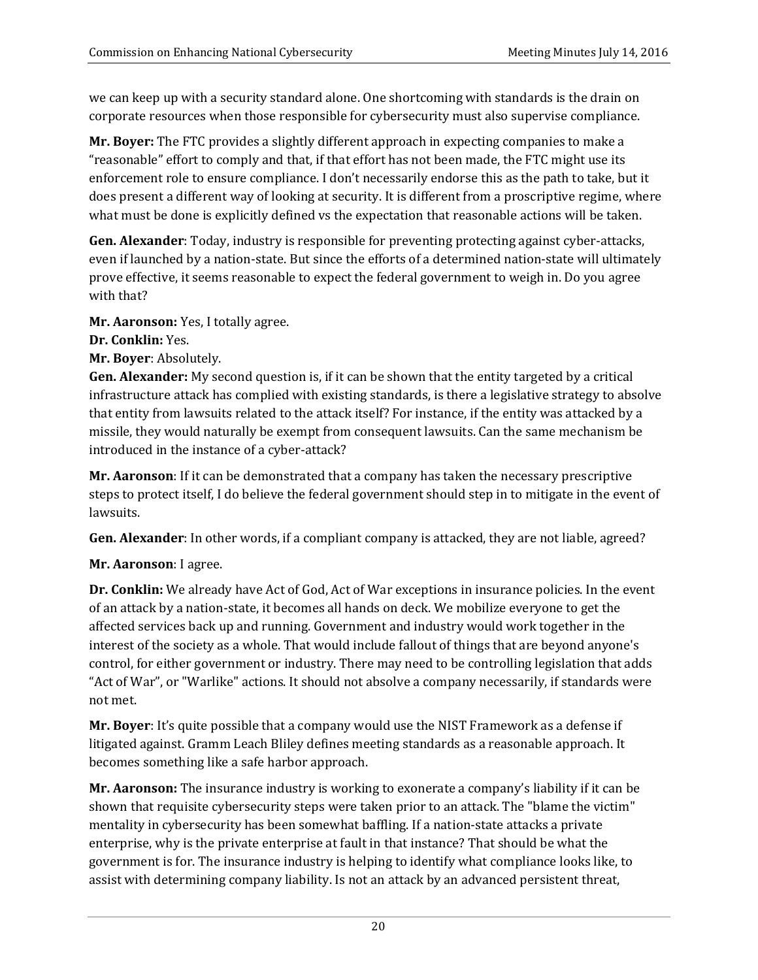we can keep up with a security standard alone. One shortcoming with standards is the drain on corporate resources when those responsible for cybersecurity must also supervise compliance.

**Mr. Boyer:** The FTC provides a slightly different approach in expecting companies to make a "reasonable" effort to comply and that, if that effort has not been made, the FTC might use its enforcement role to ensure compliance. I don't necessarily endorse this as the path to take, but it does present a different way of looking at security. It is different from a proscriptive regime, where what must be done is explicitly defined vs the expectation that reasonable actions will be taken.

**Gen. Alexander**: Today, industry is responsible for preventing protecting against cyber-attacks, even if launched by a nation-state. But since the efforts of a determined nation-state will ultimately prove effective, it seems reasonable to expect the federal government to weigh in. Do you agree with that?

**Mr. Aaronson:** Yes, I totally agree.

- **Dr. Conklin:** Yes.
- **Mr. Bover: Absolutely.**

**Gen. Alexander:** My second question is, if it can be shown that the entity targeted by a critical infrastructure attack has complied with existing standards, is there a legislative strategy to absolve that entity from lawsuits related to the attack itself? For instance, if the entity was attacked by a missile, they would naturally be exempt from consequent lawsuits. Can the same mechanism be introduced in the instance of a cyber-attack?

Mr. Aaronson: If it can be demonstrated that a company has taken the necessary prescriptive steps to protect itself, I do believe the federal government should step in to mitigate in the event of lawsuits. 

**Gen. Alexander**: In other words, if a compliant company is attacked, they are not liable, agreed?

## **Mr.** Aaronson: I agree.

**Dr.** Conklin: We already have Act of God, Act of War exceptions in insurance policies. In the event of an attack by a nation-state, it becomes all hands on deck. We mobilize everyone to get the affected services back up and running. Government and industry would work together in the interest of the society as a whole. That would include fallout of things that are beyond anyone's control, for either government or industry. There may need to be controlling legislation that adds "Act of War", or "Warlike" actions. It should not absolve a company necessarily, if standards were not met.

**Mr. Boyer**: It's quite possible that a company would use the NIST Framework as a defense if litigated against. Gramm Leach Bliley defines meeting standards as a reasonable approach. It becomes something like a safe harbor approach.

**Mr. Aaronson:** The insurance industry is working to exonerate a company's liability if it can be shown that requisite cybersecurity steps were taken prior to an attack. The "blame the victim" mentality in cybersecurity has been somewhat baffling. If a nation-state attacks a private enterprise, why is the private enterprise at fault in that instance? That should be what the government is for. The insurance industry is helping to identify what compliance looks like, to assist with determining company liability. Is not an attack by an advanced persistent threat,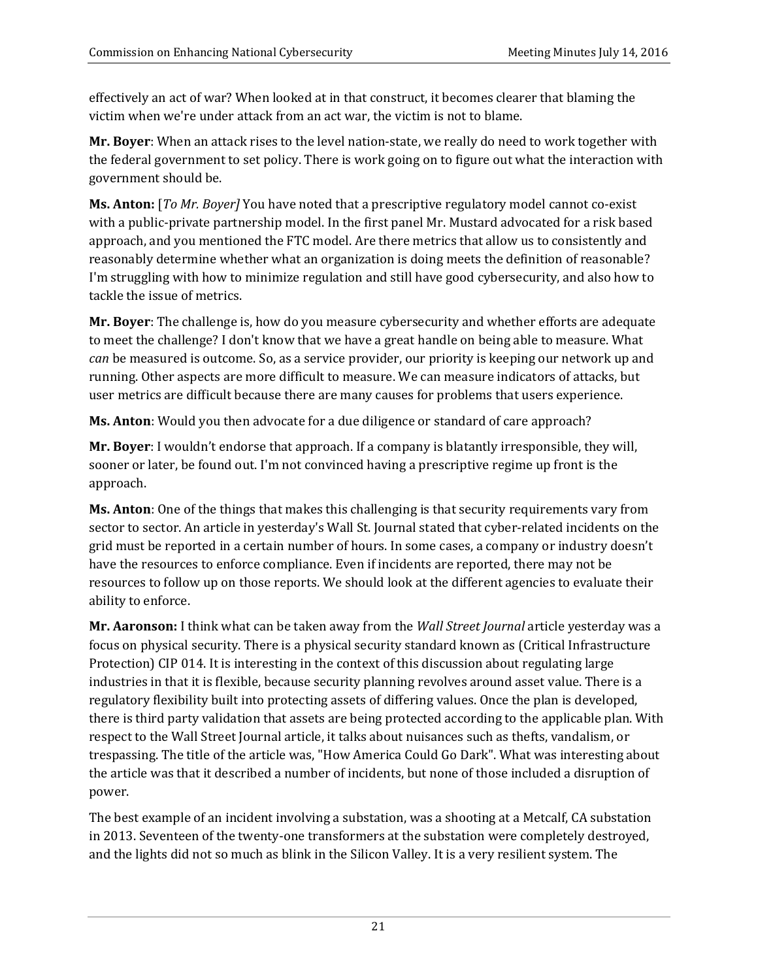effectively an act of war? When looked at in that construct, it becomes clearer that blaming the victim when we're under attack from an act war, the victim is not to blame.

**Mr. Boyer:** When an attack rises to the level nation-state, we really do need to work together with the federal government to set policy. There is work going on to figure out what the interaction with government should be.

**Ms. Anton:** [To Mr. Boyer] You have noted that a prescriptive regulatory model cannot co-exist with a public-private partnership model. In the first panel Mr. Mustard advocated for a risk based approach, and you mentioned the FTC model. Are there metrics that allow us to consistently and reasonably determine whether what an organization is doing meets the definition of reasonable? I'm struggling with how to minimize regulation and still have good cybersecurity, and also how to tackle the issue of metrics.

**Mr. Boyer**: The challenge is, how do you measure cybersecurity and whether efforts are adequate to meet the challenge? I don't know that we have a great handle on being able to measure. What *can* be measured is outcome. So, as a service provider, our priority is keeping our network up and running. Other aspects are more difficult to measure. We can measure indicators of attacks, but user metrics are difficult because there are many causes for problems that users experience.

**Ms. Anton**: Would you then advocate for a due diligence or standard of care approach?

**Mr. Boyer**: I wouldn't endorse that approach. If a company is blatantly irresponsible, they will, sooner or later, be found out. I'm not convinced having a prescriptive regime up front is the approach. 

**Ms. Anton**: One of the things that makes this challenging is that security requirements vary from sector to sector. An article in yesterday's Wall St. Journal stated that cyber-related incidents on the grid must be reported in a certain number of hours. In some cases, a company or industry doesn't have the resources to enforce compliance. Even if incidents are reported, there may not be resources to follow up on those reports. We should look at the different agencies to evaluate their ability to enforce.

**Mr. Aaronson:** I think what can be taken away from the *Wall Street Journal* article yesterday was a focus on physical security. There is a physical security standard known as (Critical Infrastructure Protection) CIP 014. It is interesting in the context of this discussion about regulating large industries in that it is flexible, because security planning revolves around asset value. There is a regulatory flexibility built into protecting assets of differing values. Once the plan is developed, there is third party validation that assets are being protected according to the applicable plan. With respect to the Wall Street Journal article, it talks about nuisances such as thefts, vandalism, or trespassing. The title of the article was, "How America Could Go Dark". What was interesting about the article was that it described a number of incidents, but none of those included a disruption of power. 

The best example of an incident involving a substation, was a shooting at a Metcalf, CA substation in 2013. Seventeen of the twenty-one transformers at the substation were completely destroyed, and the lights did not so much as blink in the Silicon Valley. It is a very resilient system. The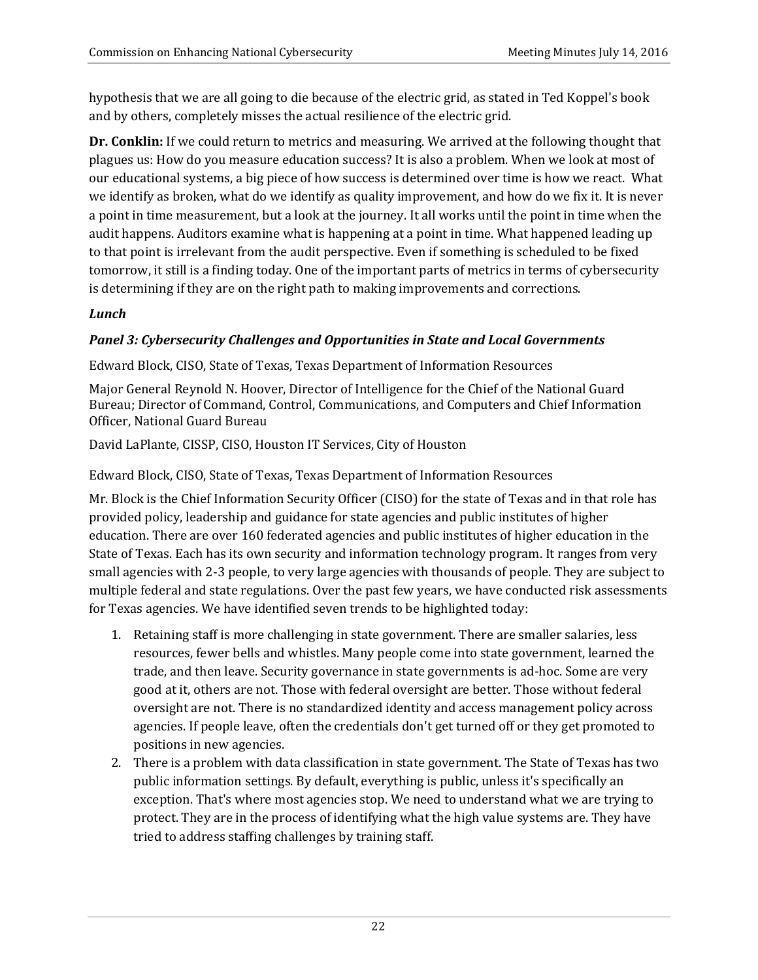hypothesis that we are all going to die because of the electric grid, as stated in Ted Koppel's book and by others, completely misses the actual resilience of the electric grid.

**Dr.** Conklin: If we could return to metrics and measuring. We arrived at the following thought that plagues us: How do you measure education success? It is also a problem. When we look at most of our educational systems, a big piece of how success is determined over time is how we react. What we identify as broken, what do we identify as quality improvement, and how do we fix it. It is never a point in time measurement, but a look at the journey. It all works until the point in time when the audit happens. Auditors examine what is happening at a point in time. What happened leading up to that point is irrelevant from the audit perspective. Even if something is scheduled to be fixed tomorrow, it still is a finding today. One of the important parts of metrics in terms of cybersecurity is determining if they are on the right path to making improvements and corrections.

## *Lunch*

## *Panel 3: Cybersecurity Challenges and Opportunities in State and Local Governments*

Edward Block, CISO, State of Texas, Texas Department of Information Resources

Major General Reynold N. Hoover, Director of Intelligence for the Chief of the National Guard Bureau; Director of Command, Control, Communications, and Computers and Chief Information Officer, National Guard Bureau

David LaPlante, CISSP, CISO, Houston IT Services, City of Houston

Edward Block, CISO, State of Texas, Texas Department of Information Resources

Mr. Block is the Chief Information Security Officer (CISO) for the state of Texas and in that role has provided policy, leadership and guidance for state agencies and public institutes of higher education. There are over 160 federated agencies and public institutes of higher education in the State of Texas. Each has its own security and information technology program. It ranges from very small agencies with 2-3 people, to very large agencies with thousands of people. They are subject to multiple federal and state regulations. Over the past few years, we have conducted risk assessments for Texas agencies. We have identified seven trends to be highlighted today:

- 1. Retaining staff is more challenging in state government. There are smaller salaries, less resources, fewer bells and whistles. Many people come into state government, learned the trade, and then leave. Security governance in state governments is ad-hoc. Some are very good at it, others are not. Those with federal oversight are better. Those without federal oversight are not. There is no standardized identity and access management policy across agencies. If people leave, often the credentials don't get turned off or they get promoted to positions in new agencies.
- 2. There is a problem with data classification in state government. The State of Texas has two public information settings. By default, everything is public, unless it's specifically an exception. That's where most agencies stop. We need to understand what we are trying to protect. They are in the process of identifying what the high value systems are. They have tried to address staffing challenges by training staff.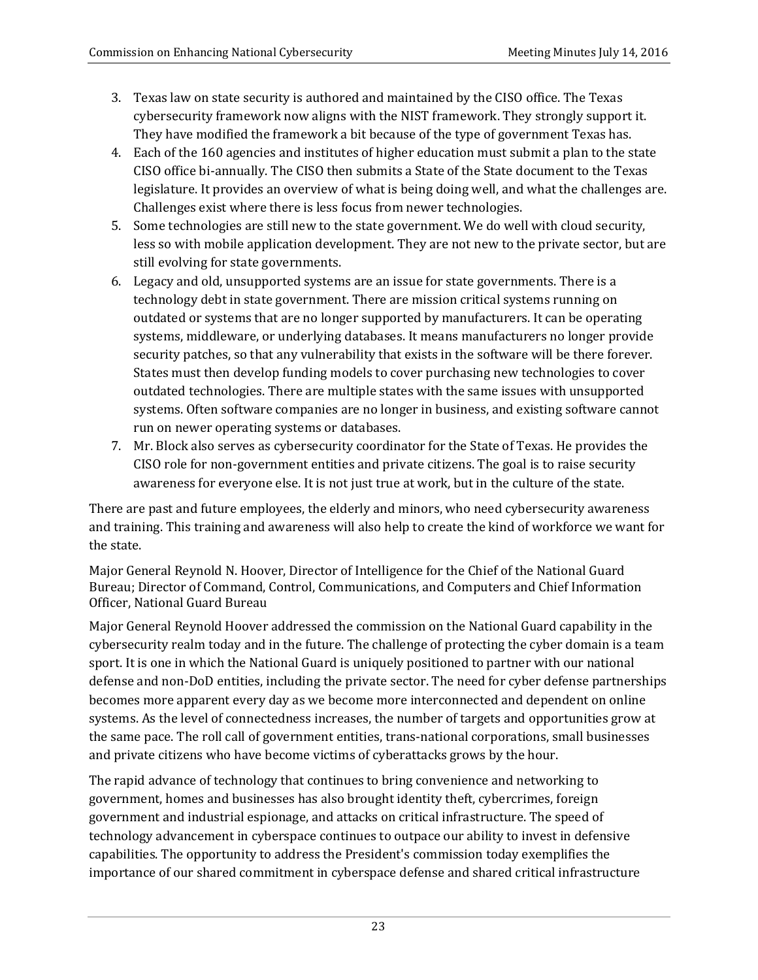- 3. Texas law on state security is authored and maintained by the CISO office. The Texas cybersecurity framework now aligns with the NIST framework. They strongly support it. They have modified the framework a bit because of the type of government Texas has.
- 4. Each of the 160 agencies and institutes of higher education must submit a plan to the state CISO office bi-annually. The CISO then submits a State of the State document to the Texas legislature. It provides an overview of what is being doing well, and what the challenges are. Challenges exist where there is less focus from newer technologies.
- 5. Some technologies are still new to the state government. We do well with cloud security, less so with mobile application development. They are not new to the private sector, but are still evolving for state governments.
- 6. Legacy and old, unsupported systems are an issue for state governments. There is a technology debt in state government. There are mission critical systems running on outdated or systems that are no longer supported by manufacturers. It can be operating systems, middleware, or underlying databases. It means manufacturers no longer provide security patches, so that any vulnerability that exists in the software will be there forever. States must then develop funding models to cover purchasing new technologies to cover outdated technologies. There are multiple states with the same issues with unsupported systems. Often software companies are no longer in business, and existing software cannot run on newer operating systems or databases.
- 7. Mr. Block also serves as cybersecurity coordinator for the State of Texas. He provides the CISO role for non-government entities and private citizens. The goal is to raise security awareness for everyone else. It is not just true at work, but in the culture of the state.

There are past and future employees, the elderly and minors, who need cybersecurity awareness and training. This training and awareness will also help to create the kind of workforce we want for the state.

Major General Reynold N. Hoover, Director of Intelligence for the Chief of the National Guard Bureau; Director of Command, Control, Communications, and Computers and Chief Information Officer, National Guard Bureau

Major General Reynold Hoover addressed the commission on the National Guard capability in the cybersecurity realm today and in the future. The challenge of protecting the cyber domain is a team sport. It is one in which the National Guard is uniquely positioned to partner with our national defense and non-DoD entities, including the private sector. The need for cyber defense partnerships becomes more apparent every day as we become more interconnected and dependent on online systems. As the level of connectedness increases, the number of targets and opportunities grow at the same pace. The roll call of government entities, trans-national corporations, small businesses and private citizens who have become victims of cyberattacks grows by the hour.

The rapid advance of technology that continues to bring convenience and networking to government, homes and businesses has also brought identity theft, cybercrimes, foreign government and industrial espionage, and attacks on critical infrastructure. The speed of technology advancement in cyberspace continues to outpace our ability to invest in defensive capabilities. The opportunity to address the President's commission today exemplifies the importance of our shared commitment in cyberspace defense and shared critical infrastructure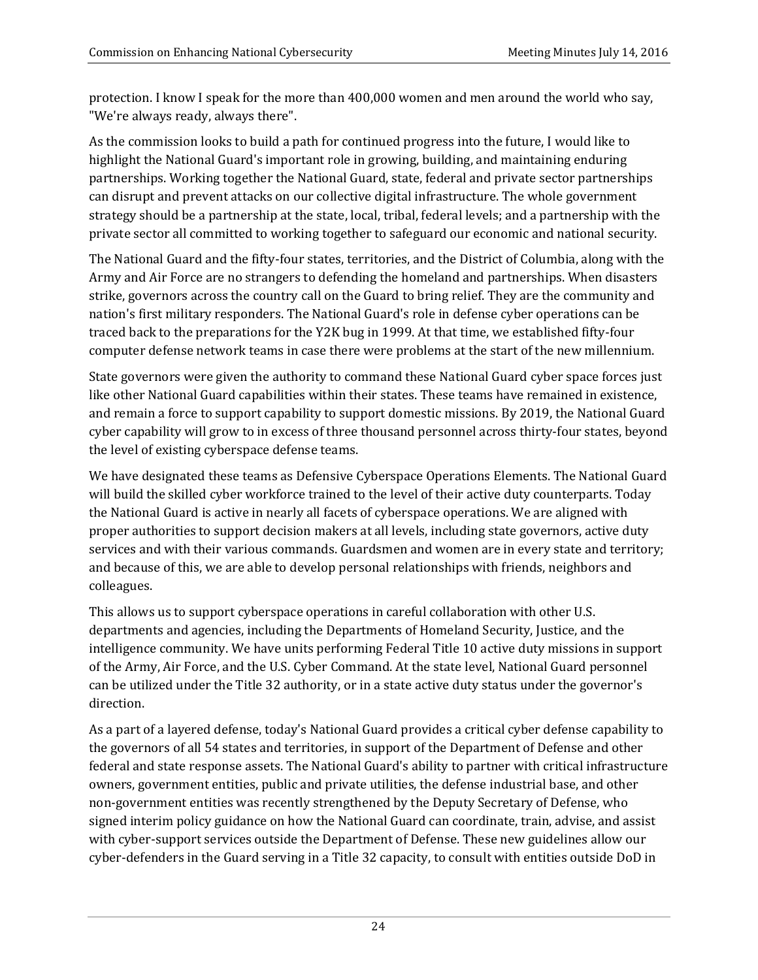protection. I know I speak for the more than 400,000 women and men around the world who say, "We're always ready, always there".

As the commission looks to build a path for continued progress into the future, I would like to highlight the National Guard's important role in growing, building, and maintaining enduring partnerships. Working together the National Guard, state, federal and private sector partnerships can disrupt and prevent attacks on our collective digital infrastructure. The whole government strategy should be a partnership at the state, local, tribal, federal levels; and a partnership with the private sector all committed to working together to safeguard our economic and national security.

The National Guard and the fifty-four states, territories, and the District of Columbia, along with the Army and Air Force are no strangers to defending the homeland and partnerships. When disasters strike, governors across the country call on the Guard to bring relief. They are the community and nation's first military responders. The National Guard's role in defense cyber operations can be traced back to the preparations for the Y2K bug in 1999. At that time, we established fifty-four computer defense network teams in case there were problems at the start of the new millennium.

State governors were given the authority to command these National Guard cyber space forces just like other National Guard capabilities within their states. These teams have remained in existence, and remain a force to support capability to support domestic missions. By 2019, the National Guard cyber capability will grow to in excess of three thousand personnel across thirty-four states, beyond the level of existing cyberspace defense teams.

We have designated these teams as Defensive Cyberspace Operations Elements. The National Guard will build the skilled cyber workforce trained to the level of their active duty counterparts. Today the National Guard is active in nearly all facets of cyberspace operations. We are aligned with proper authorities to support decision makers at all levels, including state governors, active duty services and with their various commands. Guardsmen and women are in every state and territory; and because of this, we are able to develop personal relationships with friends, neighbors and colleagues. 

This allows us to support cyberspace operations in careful collaboration with other U.S. departments and agencies, including the Departments of Homeland Security, Justice, and the intelligence community. We have units performing Federal Title 10 active duty missions in support of the Army, Air Force, and the U.S. Cyber Command. At the state level, National Guard personnel can be utilized under the Title 32 authority, or in a state active duty status under the governor's direction. 

As a part of a layered defense, today's National Guard provides a critical cyber defense capability to the governors of all 54 states and territories, in support of the Department of Defense and other federal and state response assets. The National Guard's ability to partner with critical infrastructure owners, government entities, public and private utilities, the defense industrial base, and other non-government entities was recently strengthened by the Deputy Secretary of Defense, who signed interim policy guidance on how the National Guard can coordinate, train, advise, and assist with cyber-support services outside the Department of Defense. These new guidelines allow our cyber-defenders in the Guard serving in a Title 32 capacity, to consult with entities outside DoD in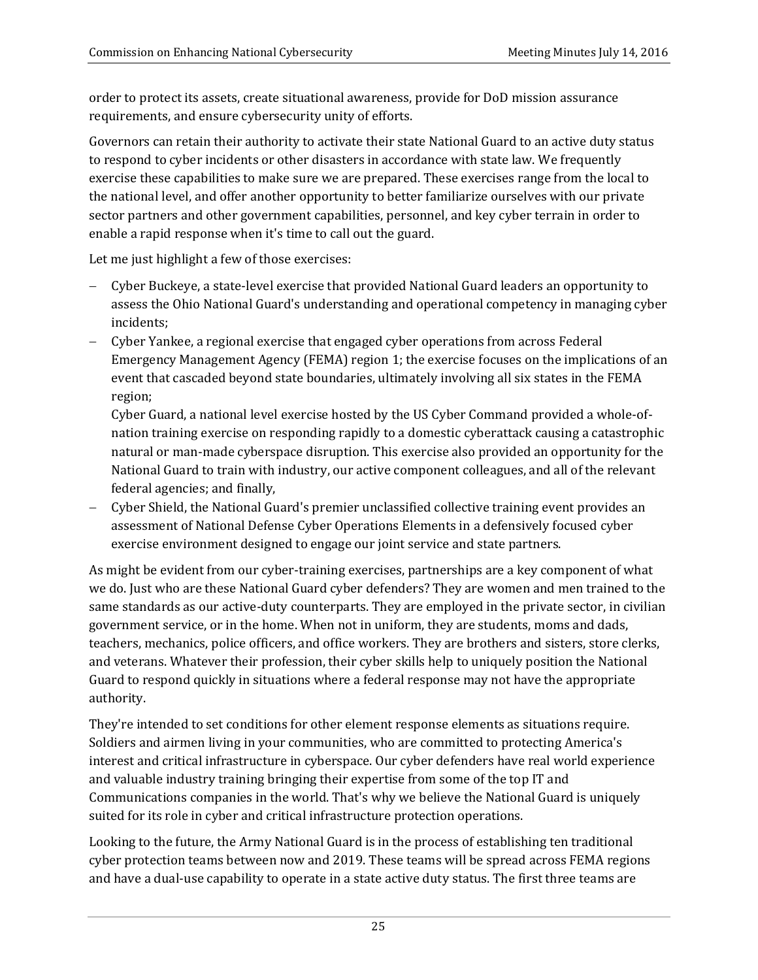order to protect its assets, create situational awareness, provide for DoD mission assurance requirements, and ensure cybersecurity unity of efforts.

Governors can retain their authority to activate their state National Guard to an active duty status to respond to cyber incidents or other disasters in accordance with state law. We frequently exercise these capabilities to make sure we are prepared. These exercises range from the local to the national level, and offer another opportunity to better familiarize ourselves with our private sector partners and other government capabilities, personnel, and key cyber terrain in order to enable a rapid response when it's time to call out the guard.

Let me just highlight a few of those exercises:

- Cyber Buckeye, a state-level exercise that provided National Guard leaders an opportunity to assess the Ohio National Guard's understanding and operational competency in managing cyber incidents;
- Cyber Yankee, a regional exercise that engaged cyber operations from across Federal Emergency Management Agency (FEMA) region 1; the exercise focuses on the implications of an event that cascaded beyond state boundaries, ultimately involving all six states in the FEMA region;

Cyber Guard, a national level exercise hosted by the US Cyber Command provided a whole-ofnation training exercise on responding rapidly to a domestic cyberattack causing a catastrophic natural or man-made cyberspace disruption. This exercise also provided an opportunity for the National Guard to train with industry, our active component colleagues, and all of the relevant federal agencies; and finally,

Cyber Shield, the National Guard's premier unclassified collective training event provides an assessment of National Defense Cyber Operations Elements in a defensively focused cyber exercise environment designed to engage our joint service and state partners.

As might be evident from our cyber-training exercises, partnerships are a key component of what we do. Just who are these National Guard cyber defenders? They are women and men trained to the same standards as our active-duty counterparts. They are employed in the private sector, in civilian government service, or in the home. When not in uniform, they are students, moms and dads, teachers, mechanics, police officers, and office workers. They are brothers and sisters, store clerks, and veterans. Whatever their profession, their cyber skills help to uniquely position the National Guard to respond quickly in situations where a federal response may not have the appropriate authority. 

They're intended to set conditions for other element response elements as situations require. Soldiers and airmen living in your communities, who are committed to protecting America's interest and critical infrastructure in cyberspace. Our cyber defenders have real world experience and valuable industry training bringing their expertise from some of the top IT and Communications companies in the world. That's why we believe the National Guard is uniquely suited for its role in cyber and critical infrastructure protection operations.

Looking to the future, the Army National Guard is in the process of establishing ten traditional cyber protection teams between now and 2019. These teams will be spread across FEMA regions and have a dual-use capability to operate in a state active duty status. The first three teams are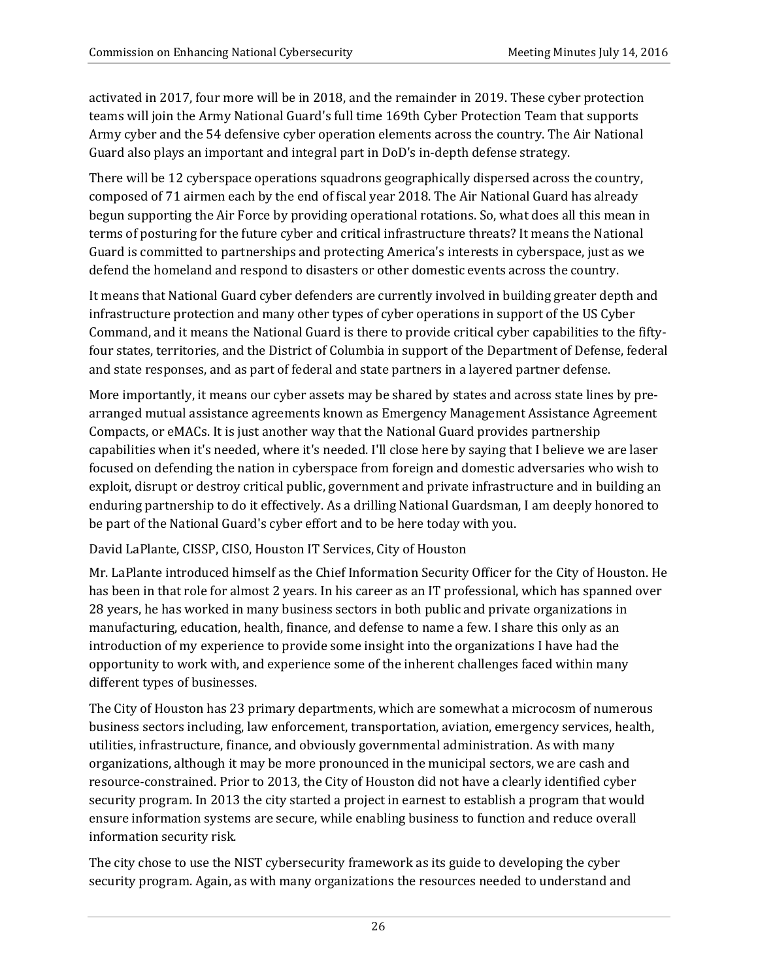activated in 2017, four more will be in 2018, and the remainder in 2019. These cyber protection teams will join the Army National Guard's full time 169th Cyber Protection Team that supports Army cyber and the 54 defensive cyber operation elements across the country. The Air National Guard also plays an important and integral part in DoD's in-depth defense strategy.

There will be 12 cyberspace operations squadrons geographically dispersed across the country, composed of 71 airmen each by the end of fiscal year 2018. The Air National Guard has already begun supporting the Air Force by providing operational rotations. So, what does all this mean in terms of posturing for the future cyber and critical infrastructure threats? It means the National Guard is committed to partnerships and protecting America's interests in cyberspace, just as we defend the homeland and respond to disasters or other domestic events across the country.

It means that National Guard cyber defenders are currently involved in building greater depth and infrastructure protection and many other types of cyber operations in support of the US Cyber Command, and it means the National Guard is there to provide critical cyber capabilities to the fiftyfour states, territories, and the District of Columbia in support of the Department of Defense, federal and state responses, and as part of federal and state partners in a layered partner defense.

More importantly, it means our cyber assets may be shared by states and across state lines by prearranged mutual assistance agreements known as Emergency Management Assistance Agreement Compacts, or eMACs. It is just another way that the National Guard provides partnership capabilities when it's needed, where it's needed. I'll close here by saying that I believe we are laser focused on defending the nation in cyberspace from foreign and domestic adversaries who wish to exploit, disrupt or destroy critical public, government and private infrastructure and in building an enduring partnership to do it effectively. As a drilling National Guardsman, I am deeply honored to be part of the National Guard's cyber effort and to be here today with you.

### David LaPlante, CISSP, CISO, Houston IT Services, City of Houston

Mr. LaPlante introduced himself as the Chief Information Security Officer for the City of Houston. He has been in that role for almost 2 years. In his career as an IT professional, which has spanned over 28 years, he has worked in many business sectors in both public and private organizations in manufacturing, education, health, finance, and defense to name a few. I share this only as an introduction of my experience to provide some insight into the organizations I have had the opportunity to work with, and experience some of the inherent challenges faced within many different types of businesses.

The City of Houston has 23 primary departments, which are somewhat a microcosm of numerous business sectors including, law enforcement, transportation, aviation, emergency services, health, utilities, infrastructure, finance, and obviously governmental administration. As with many organizations, although it may be more pronounced in the municipal sectors, we are cash and resource-constrained. Prior to 2013, the City of Houston did not have a clearly identified cyber security program. In 2013 the city started a project in earnest to establish a program that would ensure information systems are secure, while enabling business to function and reduce overall information security risk.

The city chose to use the NIST cybersecurity framework as its guide to developing the cyber security program. Again, as with many organizations the resources needed to understand and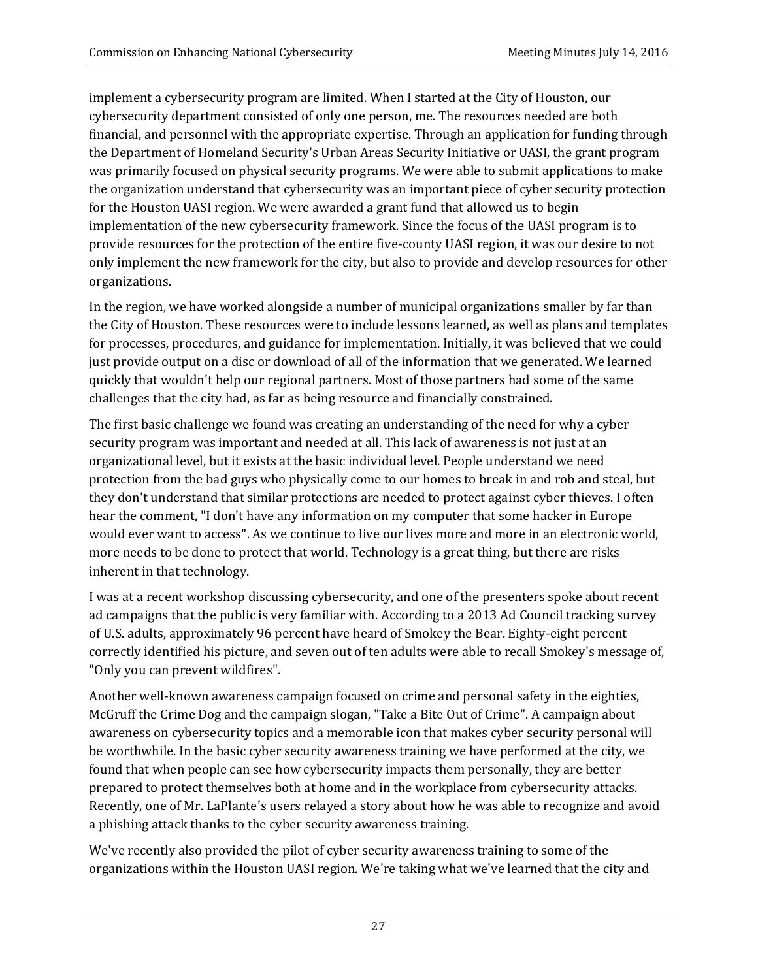implement a cybersecurity program are limited. When I started at the City of Houston, our cybersecurity department consisted of only one person, me. The resources needed are both financial, and personnel with the appropriate expertise. Through an application for funding through the Department of Homeland Security's Urban Areas Security Initiative or UASI, the grant program was primarily focused on physical security programs. We were able to submit applications to make the organization understand that cybersecurity was an important piece of cyber security protection for the Houston UASI region. We were awarded a grant fund that allowed us to begin implementation of the new cybersecurity framework. Since the focus of the UASI program is to provide resources for the protection of the entire five-county UASI region, it was our desire to not only implement the new framework for the city, but also to provide and develop resources for other organizations. 

In the region, we have worked alongside a number of municipal organizations smaller by far than the City of Houston. These resources were to include lessons learned, as well as plans and templates for processes, procedures, and guidance for implementation. Initially, it was believed that we could just provide output on a disc or download of all of the information that we generated. We learned quickly that wouldn't help our regional partners. Most of those partners had some of the same challenges that the city had, as far as being resource and financially constrained.

The first basic challenge we found was creating an understanding of the need for why a cyber security program was important and needed at all. This lack of awareness is not just at an organizational level, but it exists at the basic individual level. People understand we need protection from the bad guys who physically come to our homes to break in and rob and steal, but they don't understand that similar protections are needed to protect against cyber thieves. I often hear the comment, "I don't have any information on my computer that some hacker in Europe would ever want to access". As we continue to live our lives more and more in an electronic world, more needs to be done to protect that world. Technology is a great thing, but there are risks inherent in that technology.

I was at a recent workshop discussing cybersecurity, and one of the presenters spoke about recent ad campaigns that the public is very familiar with. According to a 2013 Ad Council tracking survey of U.S. adults, approximately 96 percent have heard of Smokey the Bear. Eighty-eight percent correctly identified his picture, and seven out of ten adults were able to recall Smokey's message of, "Only you can prevent wildfires".

Another well-known awareness campaign focused on crime and personal safety in the eighties, McGruff the Crime Dog and the campaign slogan, "Take a Bite Out of Crime". A campaign about awareness on cybersecurity topics and a memorable icon that makes cyber security personal will be worthwhile. In the basic cyber security awareness training we have performed at the city, we found that when people can see how cybersecurity impacts them personally, they are better prepared to protect themselves both at home and in the workplace from cybersecurity attacks. Recently, one of Mr. LaPlante's users relayed a story about how he was able to recognize and avoid a phishing attack thanks to the cyber security awareness training.

We've recently also provided the pilot of cyber security awareness training to some of the organizations within the Houston UASI region. We're taking what we've learned that the city and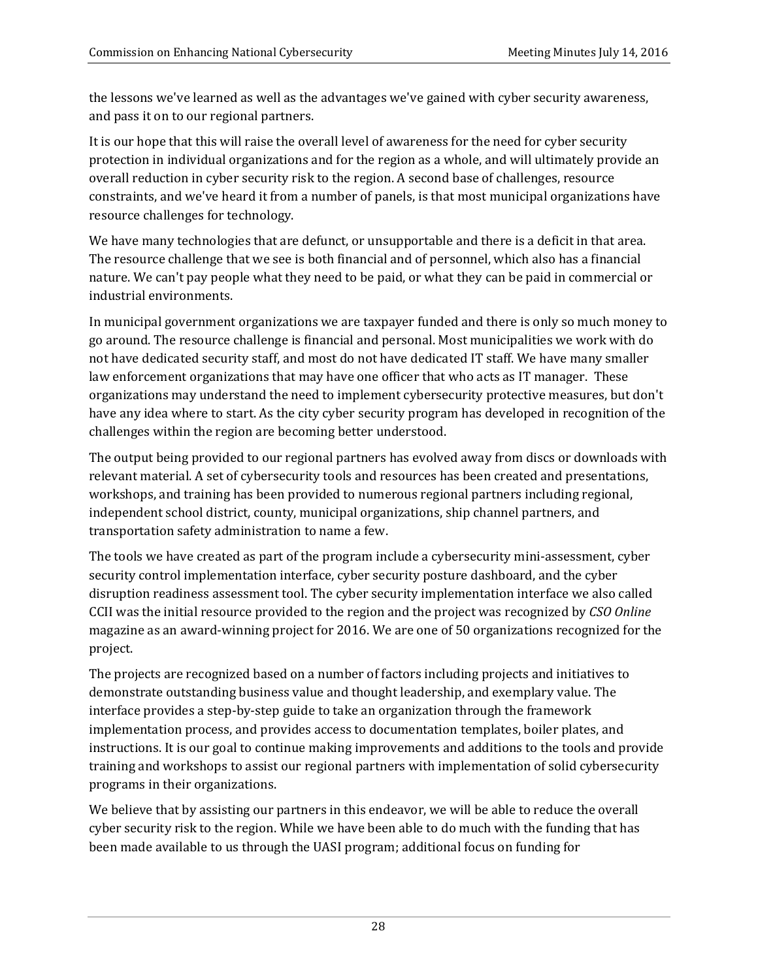the lessons we've learned as well as the advantages we've gained with cyber security awareness, and pass it on to our regional partners.

It is our hope that this will raise the overall level of awareness for the need for cyber security protection in individual organizations and for the region as a whole, and will ultimately provide an overall reduction in cyber security risk to the region. A second base of challenges, resource constraints, and we've heard it from a number of panels, is that most municipal organizations have resource challenges for technology.

We have many technologies that are defunct, or unsupportable and there is a deficit in that area. The resource challenge that we see is both financial and of personnel, which also has a financial nature. We can't pay people what they need to be paid, or what they can be paid in commercial or industrial environments.

In municipal government organizations we are taxpayer funded and there is only so much money to go around. The resource challenge is financial and personal. Most municipalities we work with do not have dedicated security staff, and most do not have dedicated IT staff. We have many smaller law enforcement organizations that may have one officer that who acts as IT manager. These organizations may understand the need to implement cybersecurity protective measures, but don't have any idea where to start. As the city cyber security program has developed in recognition of the challenges within the region are becoming better understood.

The output being provided to our regional partners has evolved away from discs or downloads with relevant material. A set of cybersecurity tools and resources has been created and presentations, workshops, and training has been provided to numerous regional partners including regional, independent school district, county, municipal organizations, ship channel partners, and transportation safety administration to name a few.

The tools we have created as part of the program include a cybersecurity mini-assessment, cyber security control implementation interface, cyber security posture dashboard, and the cyber disruption readiness assessment tool. The cyber security implementation interface we also called CCII was the initial resource provided to the region and the project was recognized by *CSO Online* magazine as an award-winning project for 2016. We are one of 50 organizations recognized for the project. 

The projects are recognized based on a number of factors including projects and initiatives to demonstrate outstanding business value and thought leadership, and exemplary value. The interface provides a step-by-step guide to take an organization through the framework implementation process, and provides access to documentation templates, boiler plates, and instructions. It is our goal to continue making improvements and additions to the tools and provide training and workshops to assist our regional partners with implementation of solid cybersecurity programs in their organizations.

We believe that by assisting our partners in this endeavor, we will be able to reduce the overall cyber security risk to the region. While we have been able to do much with the funding that has been made available to us through the UASI program; additional focus on funding for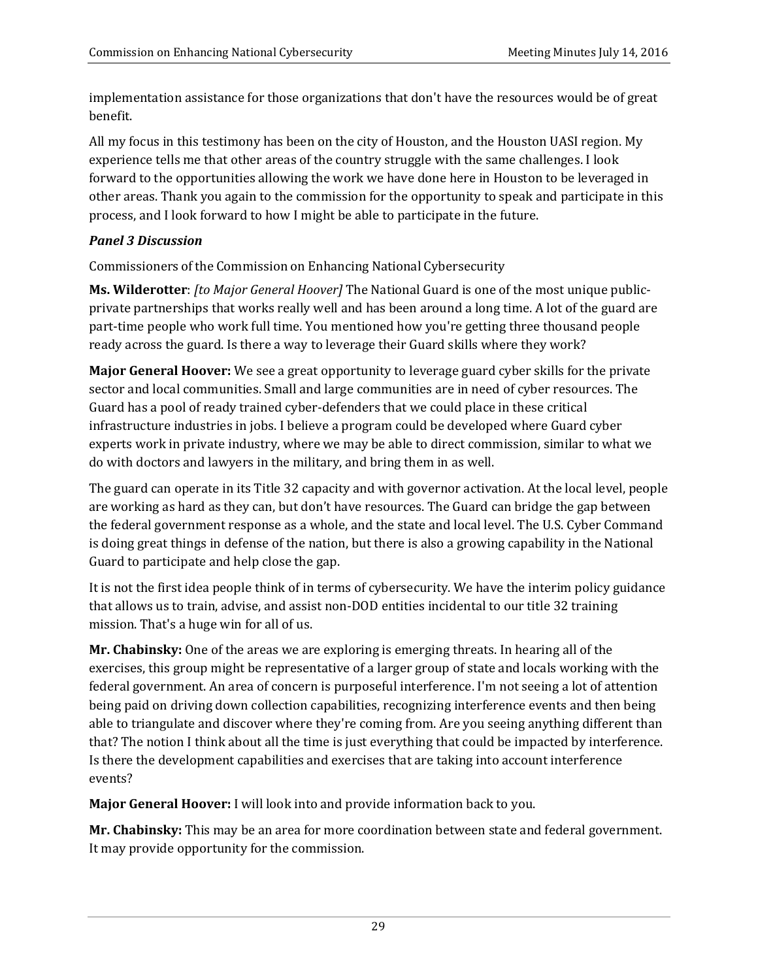implementation assistance for those organizations that don't have the resources would be of great benefit. 

All my focus in this testimony has been on the city of Houston, and the Houston UASI region. My experience tells me that other areas of the country struggle with the same challenges. I look forward to the opportunities allowing the work we have done here in Houston to be leveraged in other areas. Thank you again to the commission for the opportunity to speak and participate in this process, and I look forward to how I might be able to participate in the future.

## *Panel 3 Discussion*

Commissioners of the Commission on Enhancing National Cybersecurity

**Ms. Wilderotter**: *[to Major General Hoover]* The National Guard is one of the most unique publicprivate partnerships that works really well and has been around a long time. A lot of the guard are part-time people who work full time. You mentioned how you're getting three thousand people ready across the guard. Is there a way to leverage their Guard skills where they work?

**Major General Hoover:** We see a great opportunity to leverage guard cyber skills for the private sector and local communities. Small and large communities are in need of cyber resources. The Guard has a pool of ready trained cyber-defenders that we could place in these critical infrastructure industries in jobs. I believe a program could be developed where Guard cyber experts work in private industry, where we may be able to direct commission, similar to what we do with doctors and lawyers in the military, and bring them in as well.

The guard can operate in its Title 32 capacity and with governor activation. At the local level, people are working as hard as they can, but don't have resources. The Guard can bridge the gap between the federal government response as a whole, and the state and local level. The U.S. Cyber Command is doing great things in defense of the nation, but there is also a growing capability in the National Guard to participate and help close the gap.

It is not the first idea people think of in terms of cybersecurity. We have the interim policy guidance that allows us to train, advise, and assist non-DOD entities incidental to our title 32 training mission. That's a huge win for all of us.

**Mr. Chabinsky:** One of the areas we are exploring is emerging threats. In hearing all of the exercises, this group might be representative of a larger group of state and locals working with the federal government. An area of concern is purposeful interference. I'm not seeing a lot of attention being paid on driving down collection capabilities, recognizing interference events and then being able to triangulate and discover where they're coming from. Are you seeing anything different than that? The notion I think about all the time is just everything that could be impacted by interference. Is there the development capabilities and exercises that are taking into account interference events? 

**Major General Hoover:** I will look into and provide information back to you.

**Mr. Chabinsky:** This may be an area for more coordination between state and federal government. It may provide opportunity for the commission.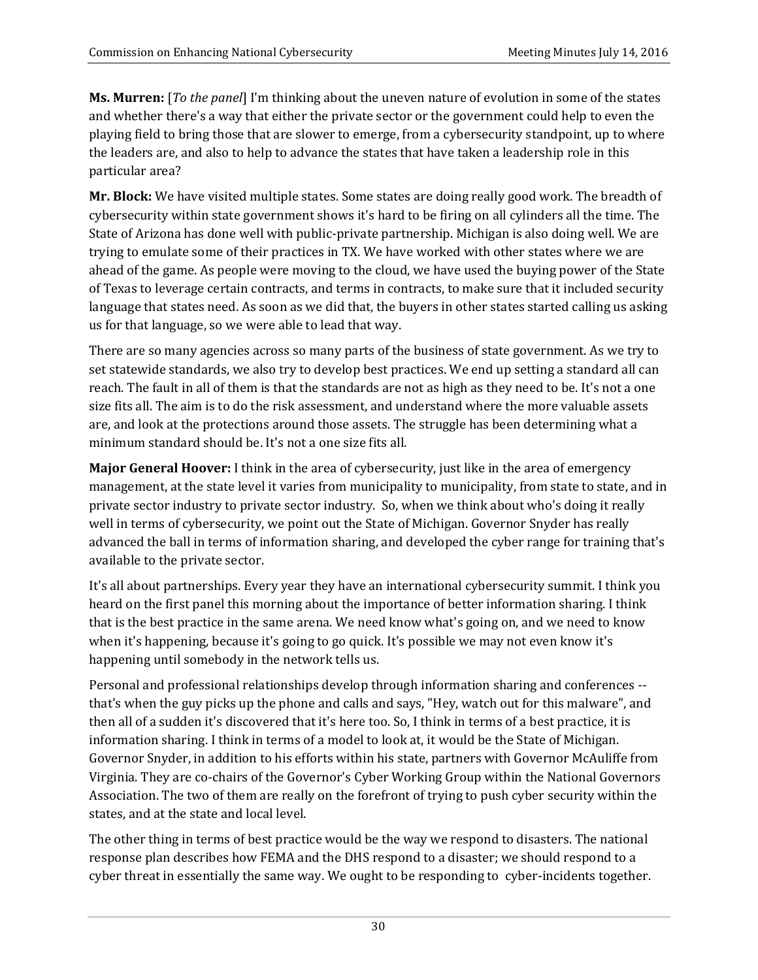**Ms. Murren:** [*To the panel*] I'm thinking about the uneven nature of evolution in some of the states and whether there's a way that either the private sector or the government could help to even the playing field to bring those that are slower to emerge, from a cybersecurity standpoint, up to where the leaders are, and also to help to advance the states that have taken a leadership role in this particular area?

Mr. Block: We have visited multiple states. Some states are doing really good work. The breadth of cybersecurity within state government shows it's hard to be firing on all cylinders all the time. The State of Arizona has done well with public-private partnership. Michigan is also doing well. We are trying to emulate some of their practices in TX. We have worked with other states where we are ahead of the game. As people were moving to the cloud, we have used the buying power of the State of Texas to leverage certain contracts, and terms in contracts, to make sure that it included security language that states need. As soon as we did that, the buyers in other states started calling us asking us for that language, so we were able to lead that way.

There are so many agencies across so many parts of the business of state government. As we try to set statewide standards, we also try to develop best practices. We end up setting a standard all can reach. The fault in all of them is that the standards are not as high as they need to be. It's not a one size fits all. The aim is to do the risk assessment, and understand where the more valuable assets are, and look at the protections around those assets. The struggle has been determining what a minimum standard should be. It's not a one size fits all.

**Major General Hoover:** I think in the area of cybersecurity, just like in the area of emergency management, at the state level it varies from municipality to municipality, from state to state, and in private sector industry to private sector industry. So, when we think about who's doing it really well in terms of cybersecurity, we point out the State of Michigan. Governor Snyder has really advanced the ball in terms of information sharing, and developed the cyber range for training that's available to the private sector.

It's all about partnerships. Every year they have an international cybersecurity summit. I think you heard on the first panel this morning about the importance of better information sharing. I think that is the best practice in the same arena. We need know what's going on, and we need to know when it's happening, because it's going to go quick. It's possible we may not even know it's happening until somebody in the network tells us.

Personal and professional relationships develop through information sharing and conferences -that's when the guy picks up the phone and calls and says, "Hey, watch out for this malware", and then all of a sudden it's discovered that it's here too. So, I think in terms of a best practice, it is information sharing. I think in terms of a model to look at, it would be the State of Michigan. Governor Snyder, in addition to his efforts within his state, partners with Governor McAuliffe from Virginia. They are co-chairs of the Governor's Cyber Working Group within the National Governors Association. The two of them are really on the forefront of trying to push cyber security within the states, and at the state and local level.

The other thing in terms of best practice would be the way we respond to disasters. The national response plan describes how FEMA and the DHS respond to a disaster; we should respond to a cyber threat in essentially the same way. We ought to be responding to cyber-incidents together.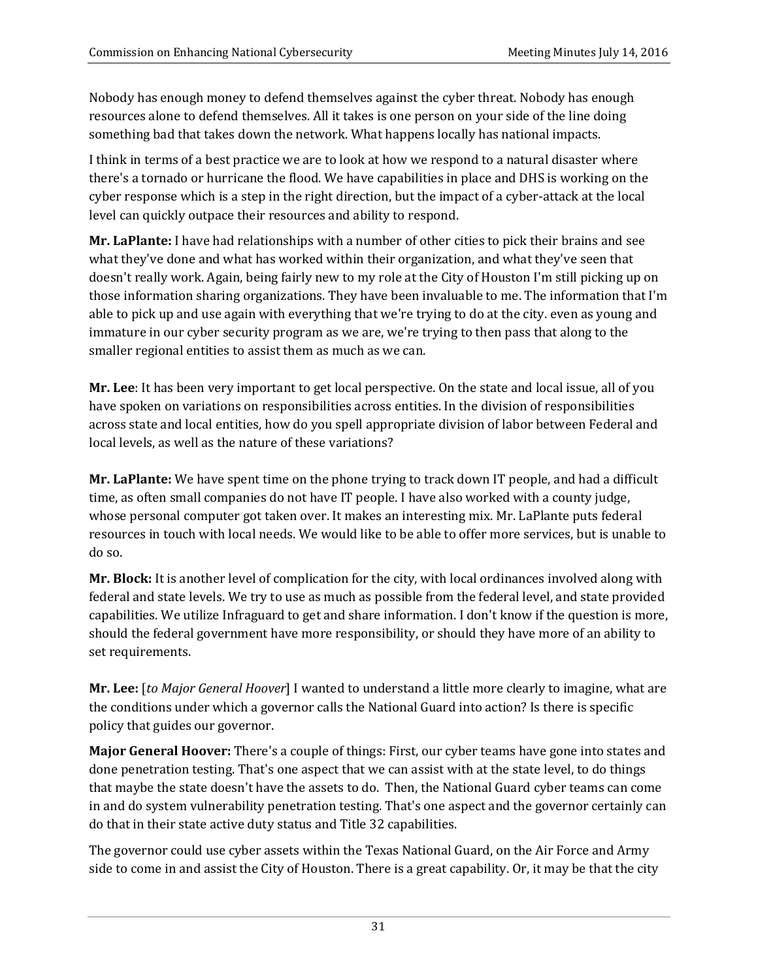Nobody has enough money to defend themselves against the cyber threat. Nobody has enough resources alone to defend themselves. All it takes is one person on your side of the line doing something bad that takes down the network. What happens locally has national impacts.

I think in terms of a best practice we are to look at how we respond to a natural disaster where there's a tornado or hurricane the flood. We have capabilities in place and DHS is working on the cyber response which is a step in the right direction, but the impact of a cyber-attack at the local level can quickly outpace their resources and ability to respond.

**Mr. LaPlante:** I have had relationships with a number of other cities to pick their brains and see what they've done and what has worked within their organization, and what they've seen that doesn't really work. Again, being fairly new to my role at the City of Houston I'm still picking up on those information sharing organizations. They have been invaluable to me. The information that I'm able to pick up and use again with everything that we're trying to do at the city. even as young and immature in our cyber security program as we are, we're trying to then pass that along to the smaller regional entities to assist them as much as we can.

**Mr. Lee**: It has been very important to get local perspective. On the state and local issue, all of you have spoken on variations on responsibilities across entities. In the division of responsibilities across state and local entities, how do you spell appropriate division of labor between Federal and local levels, as well as the nature of these variations?

**Mr. LaPlante:** We have spent time on the phone trying to track down IT people, and had a difficult time, as often small companies do not have IT people. I have also worked with a county judge, whose personal computer got taken over. It makes an interesting mix. Mr. LaPlante puts federal resources in touch with local needs. We would like to be able to offer more services, but is unable to do so. 

**Mr. Block:** It is another level of complication for the city, with local ordinances involved along with federal and state levels. We try to use as much as possible from the federal level, and state provided capabilities. We utilize Infraguard to get and share information. I don't know if the question is more, should the federal government have more responsibility, or should they have more of an ability to set requirements.

**Mr. Lee:** *[to Major General Hoover]* I wanted to understand a little more clearly to imagine, what are the conditions under which a governor calls the National Guard into action? Is there is specific policy that guides our governor.

**Major General Hoover:** There's a couple of things: First, our cyber teams have gone into states and done penetration testing. That's one aspect that we can assist with at the state level, to do things that maybe the state doesn't have the assets to do. Then, the National Guard cyber teams can come in and do system vulnerability penetration testing. That's one aspect and the governor certainly can do that in their state active duty status and Title 32 capabilities.

The governor could use cyber assets within the Texas National Guard, on the Air Force and Army side to come in and assist the City of Houston. There is a great capability. Or, it may be that the city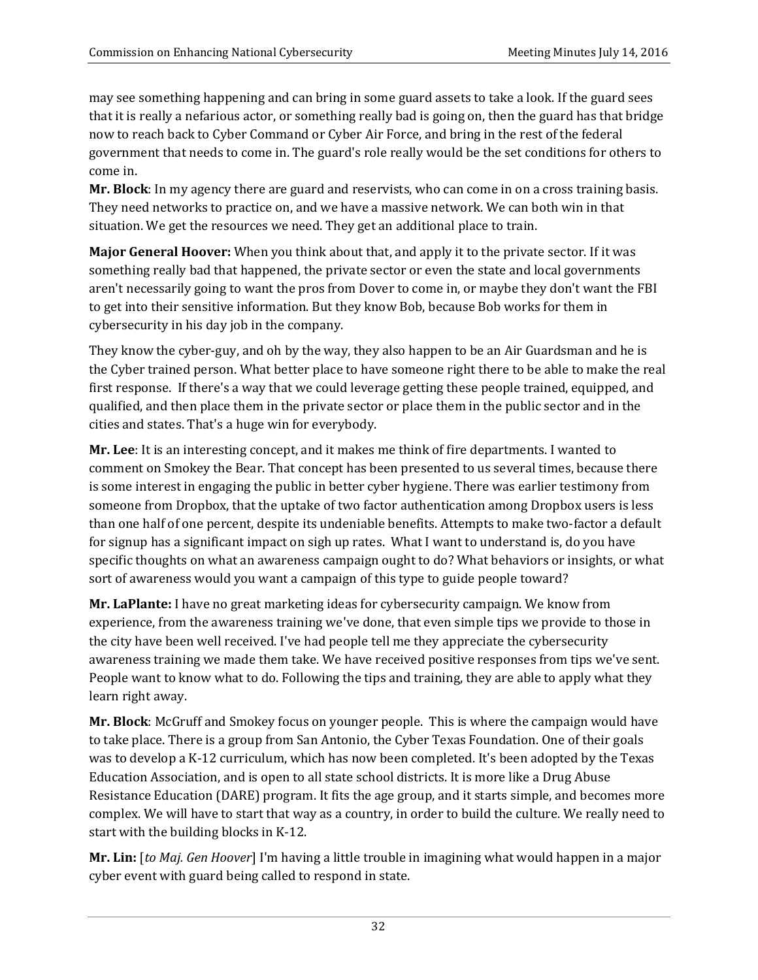may see something happening and can bring in some guard assets to take a look. If the guard sees that it is really a nefarious actor, or something really bad is going on, then the guard has that bridge now to reach back to Cyber Command or Cyber Air Force, and bring in the rest of the federal government that needs to come in. The guard's role really would be the set conditions for others to come in.

**Mr. Block**: In my agency there are guard and reservists, who can come in on a cross training basis. They need networks to practice on, and we have a massive network. We can both win in that situation. We get the resources we need. They get an additional place to train.

**Major General Hoover:** When you think about that, and apply it to the private sector. If it was something really bad that happened, the private sector or even the state and local governments aren't necessarily going to want the pros from Dover to come in, or maybe they don't want the FBI to get into their sensitive information. But they know Bob, because Bob works for them in cybersecurity in his day job in the company.

They know the cyber-guy, and oh by the way, they also happen to be an Air Guardsman and he is the Cyber trained person. What better place to have someone right there to be able to make the real first response. If there's a way that we could leverage getting these people trained, equipped, and qualified, and then place them in the private sector or place them in the public sector and in the cities and states. That's a huge win for everybody.

**Mr. Lee**: It is an interesting concept, and it makes me think of fire departments. I wanted to comment on Smokey the Bear. That concept has been presented to us several times, because there is some interest in engaging the public in better cyber hygiene. There was earlier testimony from someone from Dropbox, that the uptake of two factor authentication among Dropbox users is less than one half of one percent, despite its undeniable benefits. Attempts to make two-factor a default for signup has a significant impact on sigh up rates. What I want to understand is, do you have specific thoughts on what an awareness campaign ought to do? What behaviors or insights, or what sort of awareness would you want a campaign of this type to guide people toward?

**Mr. LaPlante:** I have no great marketing ideas for cybersecurity campaign. We know from experience, from the awareness training we've done, that even simple tips we provide to those in the city have been well received. I've had people tell me they appreciate the cybersecurity awareness training we made them take. We have received positive responses from tips we've sent. People want to know what to do. Following the tips and training, they are able to apply what they learn right away.

**Mr. Block**: McGruff and Smokey focus on younger people. This is where the campaign would have to take place. There is a group from San Antonio, the Cyber Texas Foundation. One of their goals was to develop a K-12 curriculum, which has now been completed. It's been adopted by the Texas Education Association, and is open to all state school districts. It is more like a Drug Abuse Resistance Education (DARE) program. It fits the age group, and it starts simple, and becomes more complex. We will have to start that way as a country, in order to build the culture. We really need to start with the building blocks in K-12.

**Mr. Lin:** [to *Maj. Gen Hoover*] I'm having a little trouble in imagining what would happen in a major cyber event with guard being called to respond in state.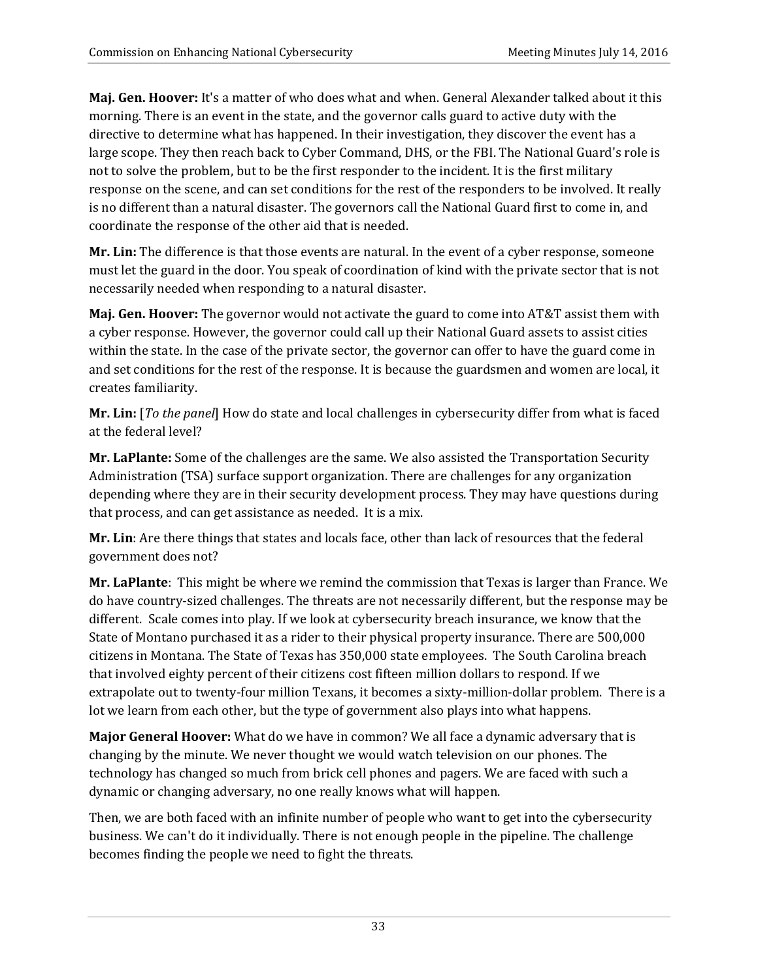**Maj. Gen. Hoover:** It's a matter of who does what and when. General Alexander talked about it this morning. There is an event in the state, and the governor calls guard to active duty with the directive to determine what has happened. In their investigation, they discover the event has a large scope. They then reach back to Cyber Command, DHS, or the FBI. The National Guard's role is not to solve the problem, but to be the first responder to the incident. It is the first military response on the scene, and can set conditions for the rest of the responders to be involved. It really is no different than a natural disaster. The governors call the National Guard first to come in, and coordinate the response of the other aid that is needed.

**Mr. Lin:** The difference is that those events are natural. In the event of a cyber response, someone must let the guard in the door. You speak of coordination of kind with the private sector that is not necessarily needed when responding to a natural disaster.

**Maj. Gen. Hoover:** The governor would not activate the guard to come into AT&T assist them with a cyber response. However, the governor could call up their National Guard assets to assist cities within the state. In the case of the private sector, the governor can offer to have the guard come in and set conditions for the rest of the response. It is because the guardsmen and women are local, it creates familiarity. 

**Mr. Lin:** [*To the panel*] How do state and local challenges in cybersecurity differ from what is faced at the federal level?

**Mr. LaPlante:** Some of the challenges are the same. We also assisted the Transportation Security Administration (TSA) surface support organization. There are challenges for any organization depending where they are in their security development process. They may have questions during that process, and can get assistance as needed. It is a mix.

**Mr. Lin**: Are there things that states and locals face, other than lack of resources that the federal government does not?

**Mr. LaPlante**: This might be where we remind the commission that Texas is larger than France. We do have country-sized challenges. The threats are not necessarily different, but the response may be different. Scale comes into play. If we look at cybersecurity breach insurance, we know that the State of Montano purchased it as a rider to their physical property insurance. There are 500,000 citizens in Montana. The State of Texas has 350,000 state employees. The South Carolina breach that involved eighty percent of their citizens cost fifteen million dollars to respond. If we extrapolate out to twenty-four million Texans, it becomes a sixty-million-dollar problem. There is a lot we learn from each other, but the type of government also plays into what happens.

**Major General Hoover:** What do we have in common? We all face a dynamic adversary that is changing by the minute. We never thought we would watch television on our phones. The technology has changed so much from brick cell phones and pagers. We are faced with such a dynamic or changing adversary, no one really knows what will happen.

Then, we are both faced with an infinite number of people who want to get into the cybersecurity business. We can't do it individually. There is not enough people in the pipeline. The challenge becomes finding the people we need to fight the threats.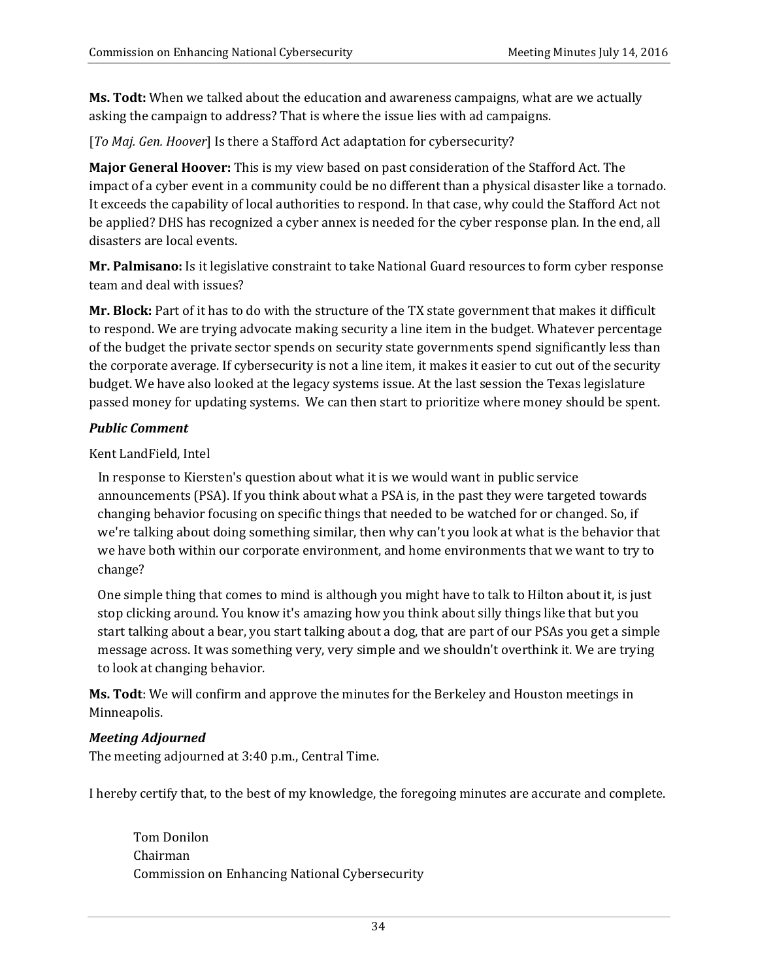**Ms. Todt:** When we talked about the education and awareness campaigns, what are we actually asking the campaign to address? That is where the issue lies with ad campaigns.

[To Maj. Gen. Hoover] Is there a Stafford Act adaptation for cybersecurity?

**Major General Hoover:** This is my view based on past consideration of the Stafford Act. The impact of a cyber event in a community could be no different than a physical disaster like a tornado. It exceeds the capability of local authorities to respond. In that case, why could the Stafford Act not be applied? DHS has recognized a cyber annex is needed for the cyber response plan. In the end, all disasters are local events.

**Mr. Palmisano:** Is it legislative constraint to take National Guard resources to form cyber response team and deal with issues?

**Mr. Block:** Part of it has to do with the structure of the TX state government that makes it difficult to respond. We are trying advocate making security a line item in the budget. Whatever percentage of the budget the private sector spends on security state governments spend significantly less than the corporate average. If cybersecurity is not a line item, it makes it easier to cut out of the security budget. We have also looked at the legacy systems issue. At the last session the Texas legislature passed money for updating systems. We can then start to prioritize where money should be spent.

#### *Public Comment*

Kent LandField, Intel

In response to Kiersten's question about what it is we would want in public service announcements (PSA). If you think about what a PSA is, in the past they were targeted towards changing behavior focusing on specific things that needed to be watched for or changed. So, if we're talking about doing something similar, then why can't you look at what is the behavior that we have both within our corporate environment, and home environments that we want to try to change? 

One simple thing that comes to mind is although you might have to talk to Hilton about it, is just stop clicking around. You know it's amazing how you think about silly things like that but you start talking about a bear, you start talking about a dog, that are part of our PSAs you get a simple message across. It was something very, very simple and we shouldn't overthink it. We are trying to look at changing behavior.

**Ms. Todt:** We will confirm and approve the minutes for the Berkeley and Houston meetings in Minneapolis. 

### *Meeting Adjourned*

The meeting adjourned at 3:40 p.m., Central Time.

I hereby certify that, to the best of my knowledge, the foregoing minutes are accurate and complete.

 Tom Donilon Chairman Commission on Enhancing National Cybersecurity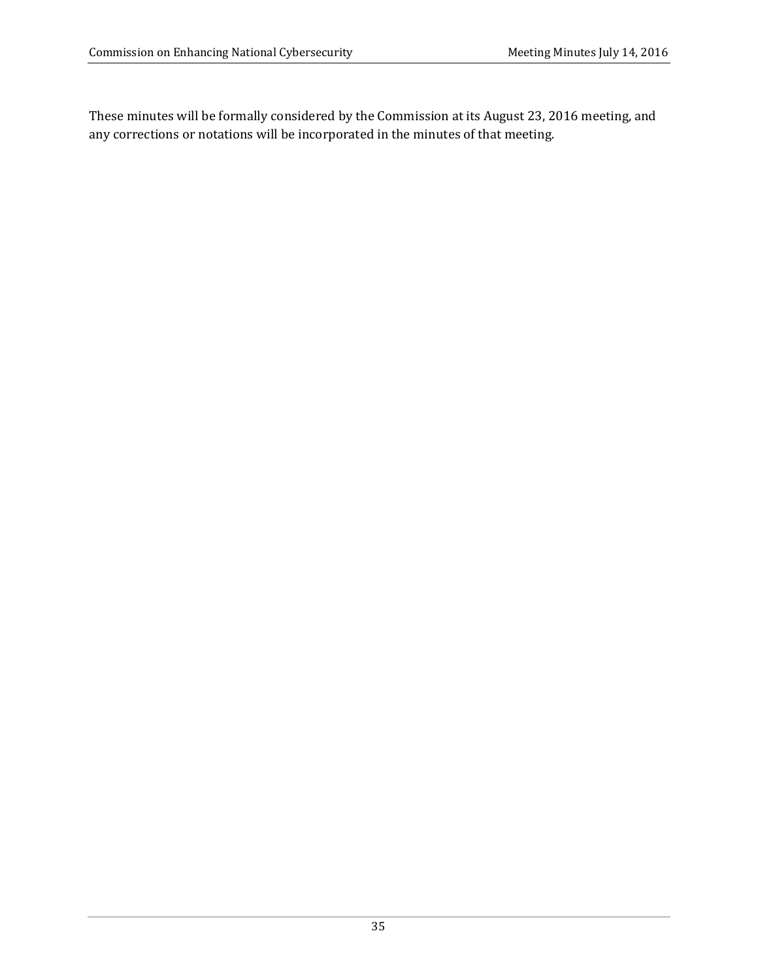These minutes will be formally considered by the Commission at its August 23, 2016 meeting, and any corrections or notations will be incorporated in the minutes of that meeting.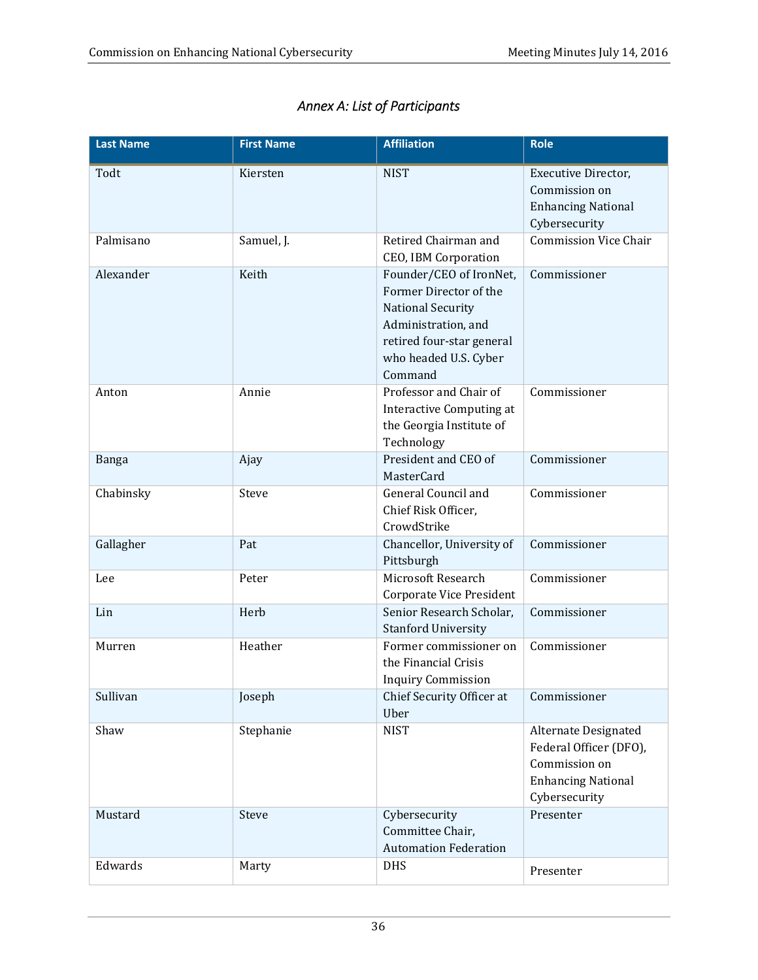| <b>Last Name</b> | <b>First Name</b> | <b>Affiliation</b>                                                                                                                                                    | <b>Role</b>                                                                                                   |
|------------------|-------------------|-----------------------------------------------------------------------------------------------------------------------------------------------------------------------|---------------------------------------------------------------------------------------------------------------|
| Todt             | Kiersten          | <b>NIST</b>                                                                                                                                                           | Executive Director,<br>Commission on<br><b>Enhancing National</b><br>Cybersecurity                            |
| Palmisano        | Samuel, J.        | Retired Chairman and<br><b>CEO, IBM Corporation</b>                                                                                                                   | <b>Commission Vice Chair</b>                                                                                  |
| Alexander        | Keith             | Founder/CEO of IronNet,<br>Former Director of the<br><b>National Security</b><br>Administration, and<br>retired four-star general<br>who headed U.S. Cyber<br>Command | Commissioner                                                                                                  |
| Anton            | Annie             | Professor and Chair of<br><b>Interactive Computing at</b><br>the Georgia Institute of<br>Technology                                                                   | Commissioner                                                                                                  |
| Banga            | Ajay              | President and CEO of<br><b>MasterCard</b>                                                                                                                             | Commissioner                                                                                                  |
| Chabinsky        | Steve             | General Council and<br>Chief Risk Officer,<br>CrowdStrike                                                                                                             | Commissioner                                                                                                  |
| Gallagher        | Pat               | Chancellor, University of<br>Pittsburgh                                                                                                                               | Commissioner                                                                                                  |
| Lee              | Peter             | Microsoft Research<br>Corporate Vice President                                                                                                                        | Commissioner                                                                                                  |
| Lin              | Herb              | Senior Research Scholar,<br><b>Stanford University</b>                                                                                                                | Commissioner                                                                                                  |
| Murren           | Heather           | Former commissioner on<br>the Financial Crisis<br><b>Inquiry Commission</b>                                                                                           | Commissioner                                                                                                  |
| Sullivan         | Joseph            | Chief Security Officer at<br>Uber                                                                                                                                     | Commissioner                                                                                                  |
| Shaw             | Stephanie         | <b>NIST</b>                                                                                                                                                           | Alternate Designated<br>Federal Officer (DFO),<br>Commission on<br><b>Enhancing National</b><br>Cybersecurity |
| Mustard          | <b>Steve</b>      | Cybersecurity<br>Committee Chair,<br><b>Automation Federation</b>                                                                                                     | Presenter                                                                                                     |
| Edwards          | Marty             | <b>DHS</b>                                                                                                                                                            | Presenter                                                                                                     |

## *Annex A: List of Participants*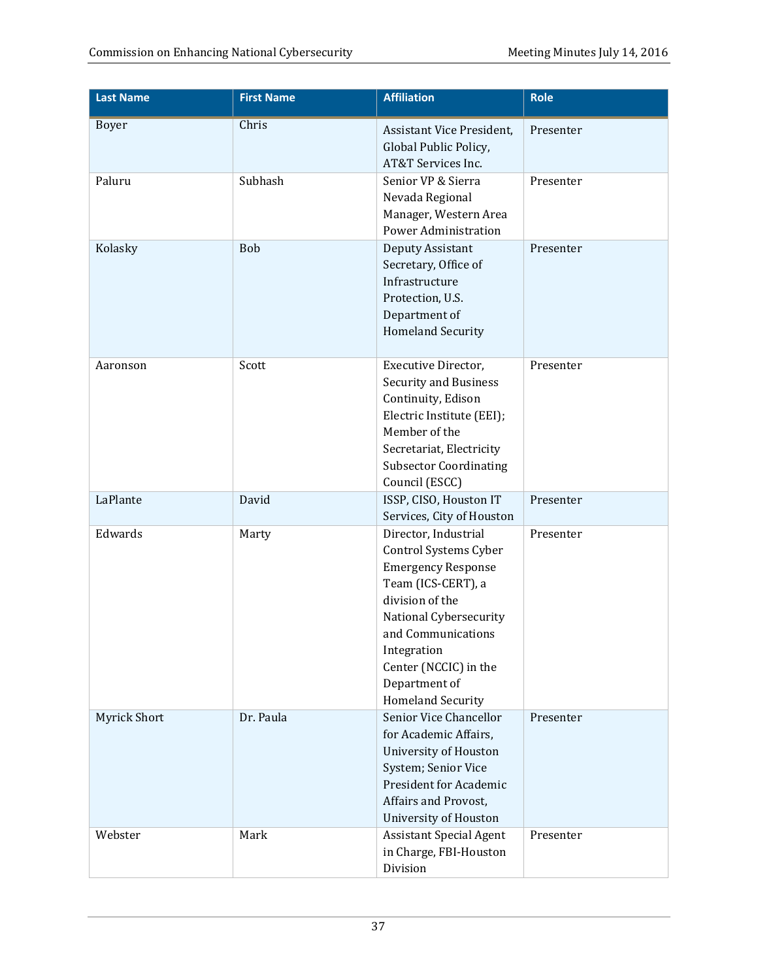| <b>Last Name</b>    | <b>First Name</b> | <b>Affiliation</b>                                                                                                                                                                                                                                | Role      |
|---------------------|-------------------|---------------------------------------------------------------------------------------------------------------------------------------------------------------------------------------------------------------------------------------------------|-----------|
| Boyer               | Chris             | Assistant Vice President,<br>Global Public Policy,<br>AT&T Services Inc.                                                                                                                                                                          | Presenter |
| Paluru              | Subhash           | Senior VP & Sierra<br>Nevada Regional<br>Manager, Western Area<br><b>Power Administration</b>                                                                                                                                                     | Presenter |
| Kolasky             | Bob               | Deputy Assistant<br>Secretary, Office of<br>Infrastructure<br>Protection, U.S.<br>Department of<br><b>Homeland Security</b>                                                                                                                       | Presenter |
| Aaronson            | Scott             | Executive Director,<br><b>Security and Business</b><br>Continuity, Edison<br>Electric Institute (EEI);<br>Member of the<br>Secretariat, Electricity<br><b>Subsector Coordinating</b><br>Council (ESCC)                                            | Presenter |
| LaPlante            | David             | ISSP, CISO, Houston IT<br>Services, City of Houston                                                                                                                                                                                               | Presenter |
| Edwards             | Marty             | Director, Industrial<br>Control Systems Cyber<br><b>Emergency Response</b><br>Team (ICS-CERT), a<br>division of the<br>National Cybersecurity<br>and Communications<br>Integration<br>Center (NCCIC) in the<br>Department of<br>Homeland Security | Presenter |
| <b>Myrick Short</b> | Dr. Paula         | Senior Vice Chancellor<br>for Academic Affairs,<br><b>University of Houston</b><br>System; Senior Vice<br><b>President for Academic</b><br>Affairs and Provost,<br><b>University of Houston</b>                                                   | Presenter |
| Webster             | Mark              | <b>Assistant Special Agent</b><br>in Charge, FBI-Houston<br>Division                                                                                                                                                                              | Presenter |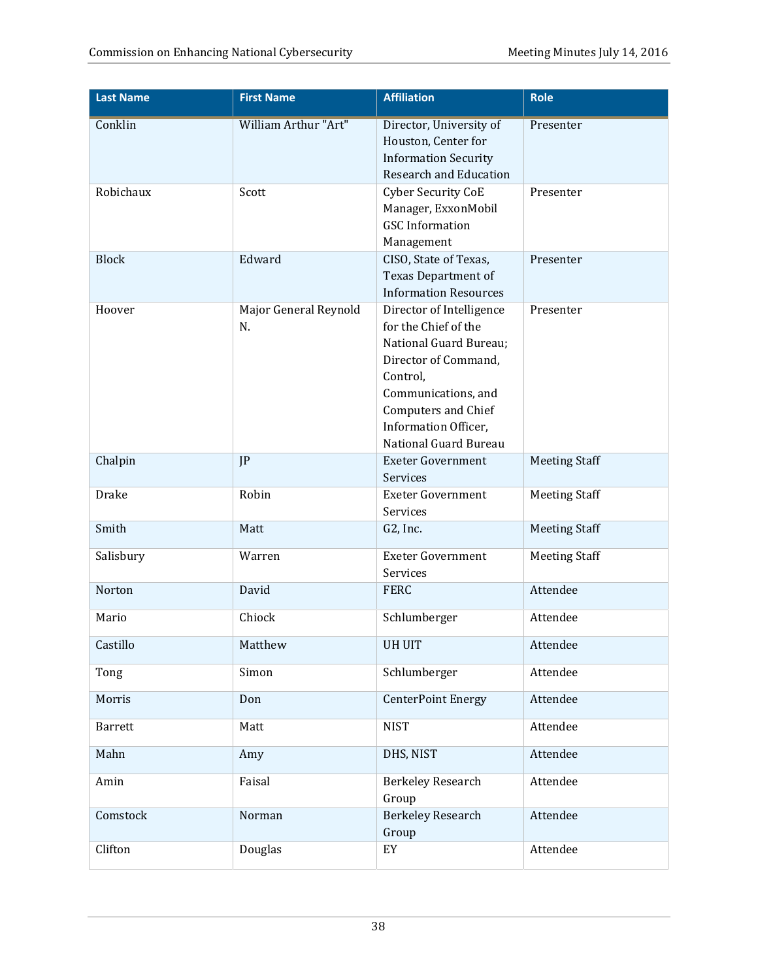| <b>Last Name</b> | <b>First Name</b>           | <b>Affiliation</b>                                                                                                                                                                                            | <b>Role</b>          |
|------------------|-----------------------------|---------------------------------------------------------------------------------------------------------------------------------------------------------------------------------------------------------------|----------------------|
| Conklin          | <b>William Arthur "Art"</b> | Director, University of<br>Houston, Center for<br><b>Information Security</b><br><b>Research and Education</b>                                                                                                | Presenter            |
| Robichaux        | Scott                       | <b>Cyber Security CoE</b><br>Manager, ExxonMobil<br><b>GSC</b> Information<br>Management                                                                                                                      | Presenter            |
| <b>Block</b>     | Edward                      | CISO, State of Texas,<br>Texas Department of<br><b>Information Resources</b>                                                                                                                                  | Presenter            |
| Hoover           | Major General Reynold<br>N. | Director of Intelligence<br>for the Chief of the<br>National Guard Bureau;<br>Director of Command,<br>Control,<br>Communications, and<br>Computers and Chief<br>Information Officer,<br>National Guard Bureau | Presenter            |
| Chalpin          | IP                          | <b>Exeter Government</b><br>Services                                                                                                                                                                          | <b>Meeting Staff</b> |
| Drake            | Robin                       | <b>Exeter Government</b><br>Services                                                                                                                                                                          | <b>Meeting Staff</b> |
| Smith            | Matt                        | G2, Inc.                                                                                                                                                                                                      | <b>Meeting Staff</b> |
| Salisbury        | Warren                      | <b>Exeter Government</b><br>Services                                                                                                                                                                          | <b>Meeting Staff</b> |
| Norton           | David                       | <b>FERC</b>                                                                                                                                                                                                   | Attendee             |
| Mario            | Chiock                      | Schlumberger                                                                                                                                                                                                  | Attendee             |
| Castillo         | Matthew                     | <b>UH UIT</b>                                                                                                                                                                                                 | Attendee             |
| Tong             | Simon                       | Schlumberger                                                                                                                                                                                                  | Attendee             |
| Morris           | Don                         | <b>CenterPoint Energy</b>                                                                                                                                                                                     | Attendee             |
| <b>Barrett</b>   | Matt                        | <b>NIST</b>                                                                                                                                                                                                   | Attendee             |
| Mahn             | Amy                         | DHS, NIST                                                                                                                                                                                                     | Attendee             |
| Amin             | Faisal                      | <b>Berkeley Research</b><br>Group                                                                                                                                                                             | Attendee             |
| Comstock         | Norman                      | <b>Berkeley Research</b><br>Group                                                                                                                                                                             | Attendee             |
| Clifton          | Douglas                     | EY                                                                                                                                                                                                            | Attendee             |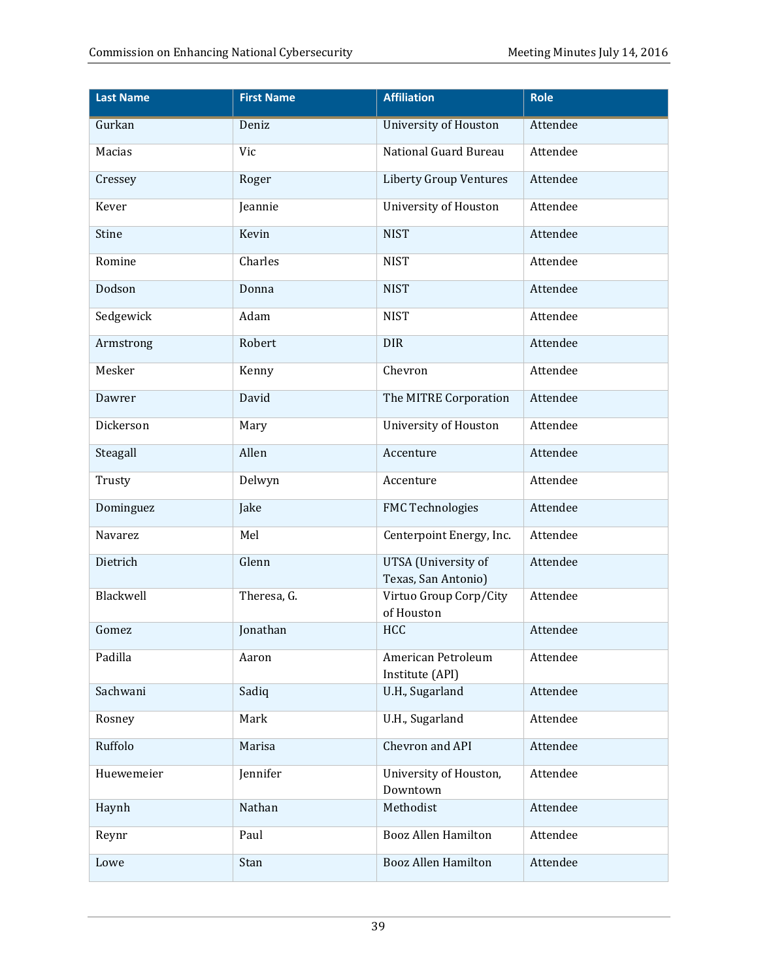| <b>Last Name</b> | <b>First Name</b> | <b>Affiliation</b>                         | Role     |
|------------------|-------------------|--------------------------------------------|----------|
| Gurkan           | Deniz             | <b>University of Houston</b>               | Attendee |
| Macias           | Vic               | National Guard Bureau                      | Attendee |
| Cressey          | Roger             | <b>Liberty Group Ventures</b>              | Attendee |
| Kever            | Jeannie           | <b>University of Houston</b>               | Attendee |
| Stine            | Kevin             | <b>NIST</b>                                | Attendee |
| Romine           | Charles           | <b>NIST</b>                                | Attendee |
| Dodson           | Donna             | <b>NIST</b>                                | Attendee |
| Sedgewick        | Adam              | <b>NIST</b>                                | Attendee |
| Armstrong        | Robert            | <b>DIR</b>                                 | Attendee |
| Mesker           | Kenny             | Chevron                                    | Attendee |
| Dawrer           | David             | The MITRE Corporation                      | Attendee |
| Dickerson        | Mary              | <b>University of Houston</b>               | Attendee |
| Steagall         | Allen             | Accenture                                  | Attendee |
| Trusty           | Delwyn            | Accenture                                  | Attendee |
| Dominguez        | Jake              | <b>FMC Technologies</b>                    | Attendee |
| Navarez          | Mel               | Centerpoint Energy, Inc.                   | Attendee |
| Dietrich         | Glenn             | UTSA (University of<br>Texas, San Antonio) | Attendee |
| Blackwell        | Theresa, G.       | Virtuo Group Corp/City                     | Attendee |
| Gomez            | Jonathan          | of Houston<br>HCC                          | Attendee |
| Padilla          | Aaron             | American Petroleum                         | Attendee |
|                  |                   | Institute (API)                            |          |
| Sachwani         | Sadiq             | U.H., Sugarland                            | Attendee |
| Rosney           | Mark              | U.H., Sugarland                            | Attendee |
| Ruffolo          | Marisa            | Chevron and API                            | Attendee |
| Huewemeier       | Jennifer          | University of Houston,<br>Downtown         | Attendee |
| Haynh            | Nathan            | Methodist                                  | Attendee |
| Reynr            | Paul              | <b>Booz Allen Hamilton</b>                 | Attendee |
| Lowe             | Stan              | <b>Booz Allen Hamilton</b>                 | Attendee |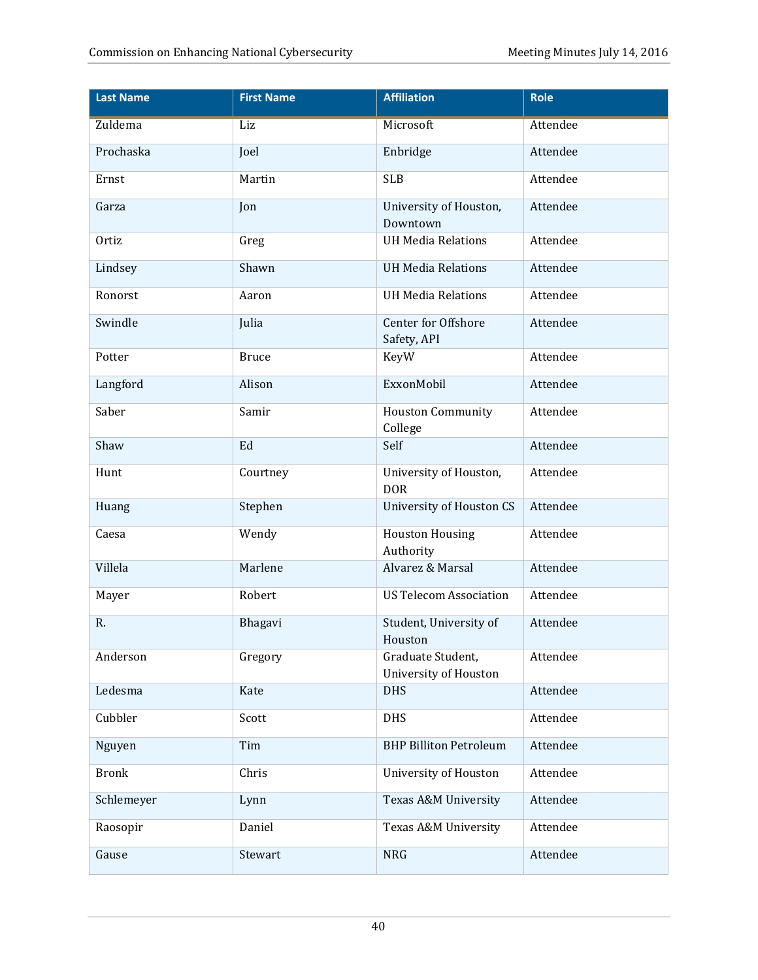| <b>Last Name</b> | <b>First Name</b> | <b>Affiliation</b>                                | <b>Role</b>     |
|------------------|-------------------|---------------------------------------------------|-----------------|
| <b>Zuldema</b>   | Liz               | Microsoft                                         | <b>Attendee</b> |
| Prochaska        | Joel              | Enbridge                                          | Attendee        |
| Ernst            | Martin            | <b>SLB</b>                                        | Attendee        |
| Garza            | Jon               | University of Houston,<br>Downtown                | Attendee        |
| Ortiz            | Greg              | <b>UH Media Relations</b>                         | Attendee        |
| Lindsey          | Shawn             | <b>UH Media Relations</b>                         | Attendee        |
| Ronorst          | Aaron             | <b>UH Media Relations</b>                         | Attendee        |
| Swindle          | Julia             | Center for Offshore<br>Safety, API                | Attendee        |
| Potter           | <b>Bruce</b>      | KeyW                                              | Attendee        |
| Langford         | Alison            | ExxonMobil                                        | Attendee        |
| Saber            | Samir             | <b>Houston Community</b><br>College               | Attendee        |
| Shaw             | Ed                | Self                                              | Attendee        |
| Hunt             | Courtney          | University of Houston,<br><b>DOR</b>              | Attendee        |
| Huang            | Stephen           | <b>University of Houston CS</b>                   | Attendee        |
| Caesa            | Wendy             | <b>Houston Housing</b><br>Authority               | Attendee        |
| Villela          | Marlene           | Alvarez & Marsal                                  | Attendee        |
| Mayer            | Robert            | <b>US Telecom Association</b>                     | Attendee        |
| R.               | Bhagavi           | Student, University of<br>Houston                 | Attendee        |
| Anderson         | Gregory           | Graduate Student,<br><b>University of Houston</b> | Attendee        |
| Ledesma          | Kate              | <b>DHS</b>                                        | Attendee        |
| Cubbler          | Scott             | <b>DHS</b>                                        | Attendee        |
| Nguyen           | Tim               | <b>BHP Billiton Petroleum</b>                     | Attendee        |
| <b>Bronk</b>     | Chris             | <b>University of Houston</b>                      | Attendee        |
| Schlemeyer       | Lynn              | Texas A&M University                              | Attendee        |
| Raosopir         | Daniel            | Texas A&M University                              | Attendee        |
| Gause            | Stewart           | <b>NRG</b>                                        | Attendee        |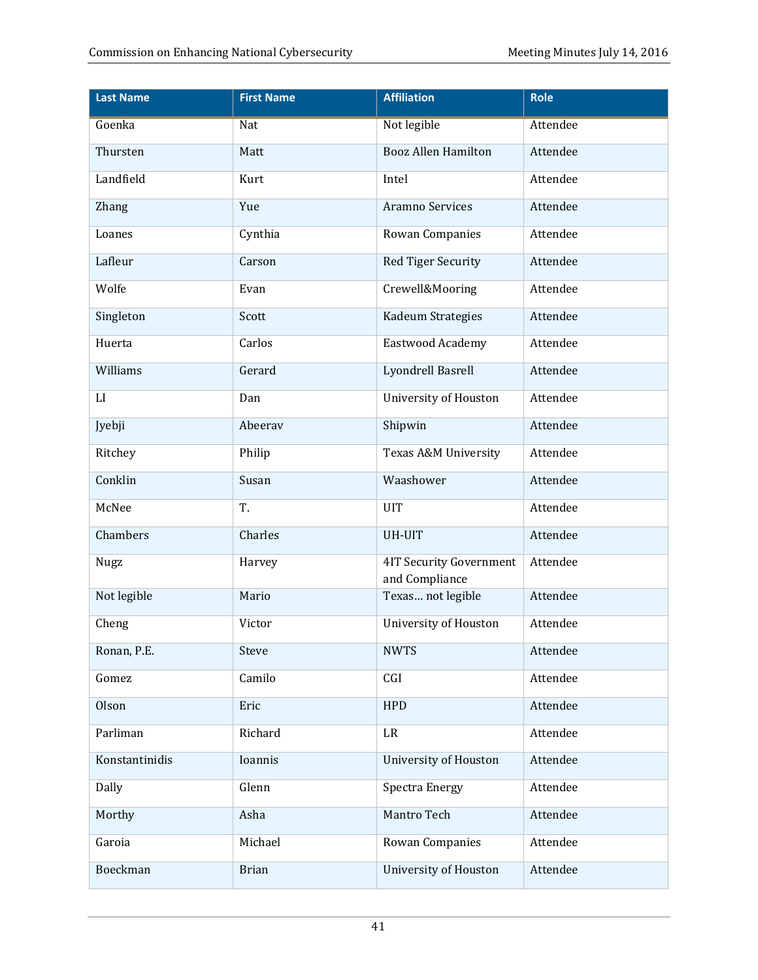| <b>Last Name</b> | <b>First Name</b> | <b>Affiliation</b>                               | Role     |
|------------------|-------------------|--------------------------------------------------|----------|
| Goenka           | <b>Nat</b>        | Not legible                                      | Attendee |
| Thursten         | Matt              | <b>Booz Allen Hamilton</b>                       | Attendee |
| Landfield        | Kurt              | Intel                                            | Attendee |
| <b>Zhang</b>     | Yue               | Aramno Services                                  | Attendee |
| Loanes           | Cynthia           | Rowan Companies                                  | Attendee |
| Lafleur          | Carson            | Red Tiger Security                               | Attendee |
| Wolfe            | Evan              | Crewell&Mooring                                  | Attendee |
| Singleton        | Scott             | Kadeum Strategies                                | Attendee |
| Huerta           | Carlos            | Eastwood Academy                                 | Attendee |
| Williams         | Gerard            | Lyondrell Basrell                                | Attendee |
| LI               | Dan               | <b>University of Houston</b>                     | Attendee |
| Jyebji           | Abeerav           | Shipwin                                          | Attendee |
| Ritchey          | Philip            | Texas A&M University                             | Attendee |
| Conklin          | Susan             | Waashower                                        | Attendee |
| McNee            | T.                | <b>UIT</b>                                       | Attendee |
| Chambers         | Charles           | <b>UH-UIT</b>                                    | Attendee |
| <b>Nugz</b>      | Harvey            | <b>4IT Security Government</b><br>and Compliance | Attendee |
| Not legible      | Mario             | Texas not legible                                | Attendee |
| Cheng            | Victor            | <b>University of Houston</b>                     | Attendee |
| Ronan, P.E.      | Steve             | <b>NWTS</b>                                      | Attendee |
| Gomez            | Camilo            | CGI                                              | Attendee |
| Olson            | Eric              | <b>HPD</b>                                       | Attendee |
| Parliman         | Richard           | LR                                               | Attendee |
| Konstantinidis   | Ioannis           | <b>University of Houston</b>                     | Attendee |
| Dally            | Glenn             | <b>Spectra Energy</b>                            | Attendee |
| Morthy           | Asha              | Mantro Tech                                      | Attendee |
| Garoia           | Michael           | Rowan Companies                                  | Attendee |
| Boeckman         | <b>Brian</b>      | <b>University of Houston</b>                     | Attendee |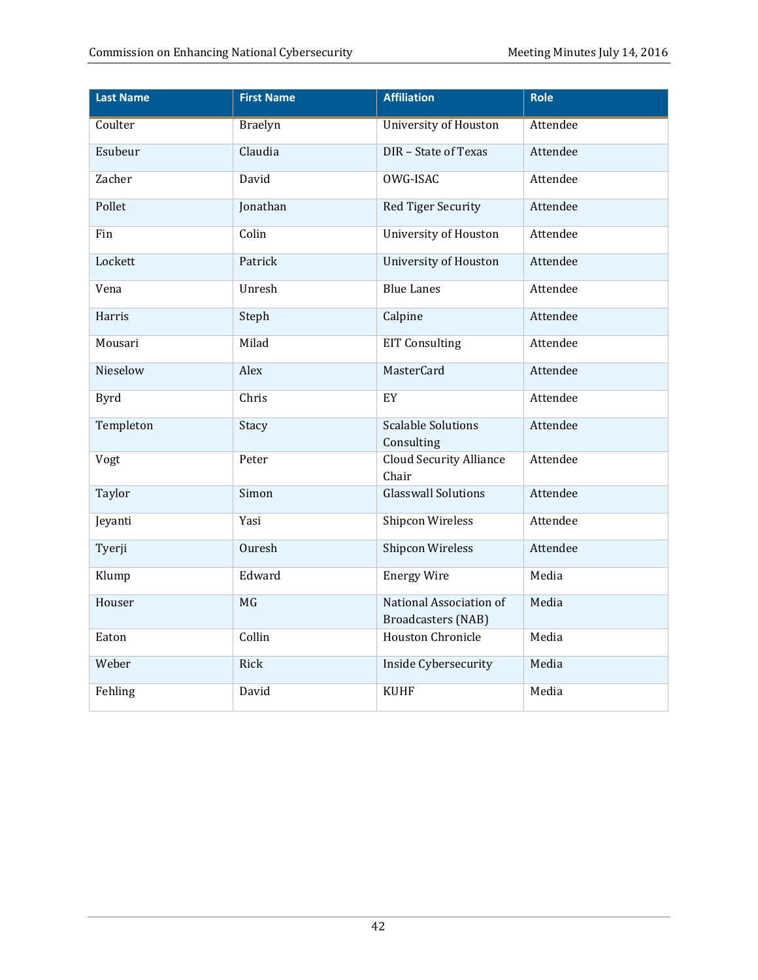| <b>Last Name</b> | <b>First Name</b> | <b>Affiliation</b>                                   | Role     |
|------------------|-------------------|------------------------------------------------------|----------|
| Coulter          | <b>Braelyn</b>    | <b>University of Houston</b>                         | Attendee |
| Esubeur          | Claudia           | DIR - State of Texas                                 | Attendee |
| Zacher           | David             | OWG-ISAC                                             | Attendee |
| Pollet           | Jonathan          | Red Tiger Security                                   | Attendee |
| Fin              | Colin             | University of Houston                                | Attendee |
| Lockett          | Patrick           | University of Houston                                | Attendee |
| Vena             | Unresh            | <b>Blue Lanes</b>                                    | Attendee |
| Harris           | Steph             | Calpine                                              | Attendee |
| Mousari          | Milad             | <b>EIT Consulting</b>                                | Attendee |
| Nieselow         | Alex              | MasterCard                                           | Attendee |
| <b>Byrd</b>      | Chris             | EY                                                   | Attendee |
| Templeton        | Stacy             | <b>Scalable Solutions</b><br>Consulting              | Attendee |
| Vogt             | Peter             | <b>Cloud Security Alliance</b><br>Chair              | Attendee |
| Taylor           | Simon             | Glasswall Solutions                                  | Attendee |
| Jeyanti          | Yasi              | <b>Shipcon Wireless</b>                              | Attendee |
| Tyerji           | Ouresh            | Shipcon Wireless                                     | Attendee |
| Klump            | Edward            | <b>Energy Wire</b>                                   | Media    |
| Houser           | MG                | National Association of<br><b>Broadcasters (NAB)</b> | Media    |
| Eaton            | Collin            | Houston Chronicle                                    | Media    |
| Weber            | Rick              | Inside Cybersecurity                                 | Media    |
| Fehling          | David             | <b>KUHF</b>                                          | Media    |